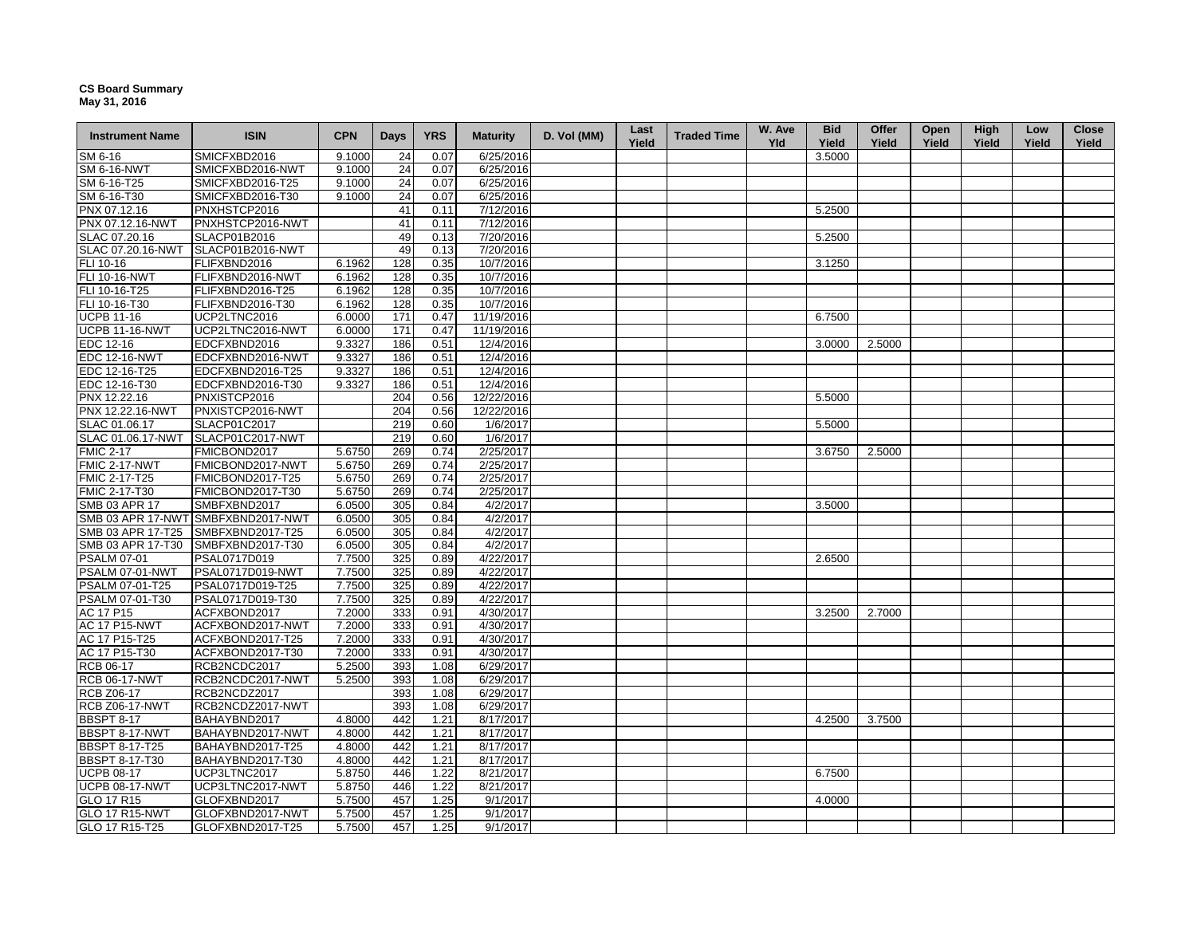## **CS Board Summary May 31, 2016**

| <b>Instrument Name</b> | <b>ISIN</b>                        | <b>CPN</b> | Days | <b>YRS</b> | <b>Maturity</b> | D. Vol (MM) | Last<br>Yield | <b>Traded Time</b> | W. Ave<br><b>Yld</b> | <b>Bid</b><br>Yield | Offer<br>Yield | Open<br>Yield | High<br>Yield | Low<br>Yield | <b>Close</b><br>Yield |
|------------------------|------------------------------------|------------|------|------------|-----------------|-------------|---------------|--------------------|----------------------|---------------------|----------------|---------------|---------------|--------------|-----------------------|
| SM 6-16                | SMICFXBD2016                       | 9.1000     | 24   | 0.07       | 6/25/2016       |             |               |                    |                      | 3.5000              |                |               |               |              |                       |
| <b>SM 6-16-NWT</b>     | SMICFXBD2016-NWT                   | 9.1000     | 24   | 0.07       | 6/25/2016       |             |               |                    |                      |                     |                |               |               |              |                       |
| SM 6-16-T25            | SMICFXBD2016-T25                   | 9.1000     | 24   | 0.07       | 6/25/2016       |             |               |                    |                      |                     |                |               |               |              |                       |
| SM 6-16-T30            | SMICFXBD2016-T30                   | 9.1000     | 24   | 0.07       | 6/25/2016       |             |               |                    |                      |                     |                |               |               |              |                       |
| PNX 07.12.16           | PNXHSTCP2016                       |            | 41   | 0.11       | 7/12/2016       |             |               |                    |                      | 5.2500              |                |               |               |              |                       |
| PNX 07.12.16-NWT       | PNXHSTCP2016-NWT                   |            | 41   | 0.11       | 7/12/2016       |             |               |                    |                      |                     |                |               |               |              |                       |
| SLAC 07.20.16          | SLACP01B2016                       |            | 49   | 0.13       | 7/20/2016       |             |               |                    |                      | 5.2500              |                |               |               |              |                       |
| SLAC 07.20.16-NWT      | SLACP01B2016-NWT                   |            | 49   | 0.13       | 7/20/2016       |             |               |                    |                      |                     |                |               |               |              |                       |
| FLI 10-16              | FLIFXBND2016                       | 6.1962     | 128  | 0.35       | 10/7/2016       |             |               |                    |                      | 3.1250              |                |               |               |              |                       |
| FLI 10-16-NWT          | FLIFXBND2016-NWT                   | 6.1962     | 128  | 0.35       | 10/7/2016       |             |               |                    |                      |                     |                |               |               |              |                       |
| FLI 10-16-T25          | FLIFXBND2016-T25                   | 6.1962     | 128  | 0.35       | 10/7/2016       |             |               |                    |                      |                     |                |               |               |              |                       |
| FLI 10-16-T30          | FLIFXBND2016-T30                   | 6.1962     | 128  | 0.35       | 10/7/2016       |             |               |                    |                      |                     |                |               |               |              |                       |
| <b>UCPB 11-16</b>      | UCP2LTNC2016                       | 6.0000     | 171  | 0.47       | 11/19/2016      |             |               |                    |                      | 6.7500              |                |               |               |              |                       |
| <b>UCPB 11-16-NWT</b>  | UCP2LTNC2016-NWT                   | 6.0000     | 171  | 0.47       | 11/19/2016      |             |               |                    |                      |                     |                |               |               |              |                       |
| EDC 12-16              | EDCFXBND2016                       | 9.3327     | 186  | 0.51       | 12/4/2016       |             |               |                    |                      | 3.0000              | 2.5000         |               |               |              |                       |
| <b>EDC 12-16-NWT</b>   | EDCFXBND2016-NWT                   | 9.3327     | 186  | 0.51       | 12/4/2016       |             |               |                    |                      |                     |                |               |               |              |                       |
| EDC 12-16-T25          | EDCFXBND2016-T25                   | 9.3327     | 186  | 0.51       | 12/4/2016       |             |               |                    |                      |                     |                |               |               |              |                       |
| EDC 12-16-T30          | EDCFXBND2016-T30                   | 9.3327     | 186  | 0.51       | 12/4/2016       |             |               |                    |                      |                     |                |               |               |              |                       |
| PNX 12.22.16           | PNXISTCP2016                       |            | 204  | 0.56       | 12/22/2016      |             |               |                    |                      | 5.5000              |                |               |               |              |                       |
| PNX 12.22.16-NWT       | PNXISTCP2016-NWT                   |            | 204  | 0.56       | 12/22/2016      |             |               |                    |                      |                     |                |               |               |              |                       |
| SLAC 01.06.17          | SLACP01C2017                       |            | 219  | 0.60       | 1/6/2017        |             |               |                    |                      | 5.5000              |                |               |               |              |                       |
| SLAC 01.06.17-NWT      | SLACP01C2017-NWT                   |            | 219  | 0.60       | 1/6/2017        |             |               |                    |                      |                     |                |               |               |              |                       |
| <b>FMIC 2-17</b>       | FMICBOND2017                       | 5.6750     | 269  | 0.74       | 2/25/2017       |             |               |                    |                      | 3.6750              | 2.5000         |               |               |              |                       |
| <b>FMIC 2-17-NWT</b>   | FMICBOND2017-NWT                   | 5.6750     | 269  | 0.74       | 2/25/2017       |             |               |                    |                      |                     |                |               |               |              |                       |
| FMIC 2-17-T25          | FMICBOND2017-T25                   | 5.6750     | 269  | 0.74       | 2/25/2017       |             |               |                    |                      |                     |                |               |               |              |                       |
| FMIC 2-17-T30          | FMICBOND2017-T30                   | 5.6750     | 269  | 0.74       | 2/25/2017       |             |               |                    |                      |                     |                |               |               |              |                       |
| SMB 03 APR 17          | SMBFXBND2017                       | 6.0500     | 305  | 0.84       | 4/2/2017        |             |               |                    |                      | 3.5000              |                |               |               |              |                       |
|                        | SMB 03 APR 17-NWT SMBFXBND2017-NWT | 6.0500     | 305  | 0.84       | 4/2/2017        |             |               |                    |                      |                     |                |               |               |              |                       |
| SMB 03 APR 17-T25      | SMBFXBND2017-T25                   | 6.0500     | 305  | 0.84       | 4/2/2017        |             |               |                    |                      |                     |                |               |               |              |                       |
| SMB 03 APR 17-T30      | SMBFXBND2017-T30                   | 6.0500     | 305  | 0.84       | 4/2/2017        |             |               |                    |                      |                     |                |               |               |              |                       |
| <b>PSALM 07-01</b>     | PSAL0717D019                       | 7.7500     | 325  | 0.89       | 4/22/2017       |             |               |                    |                      | 2.6500              |                |               |               |              |                       |
| PSALM 07-01-NWT        | PSAL0717D019-NWT                   | 7.7500     | 325  | 0.89       | 4/22/2017       |             |               |                    |                      |                     |                |               |               |              |                       |
| PSALM 07-01-T25        | PSAL0717D019-T25                   | 7.7500     | 325  | 0.89       | 4/22/2017       |             |               |                    |                      |                     |                |               |               |              |                       |
| PSALM 07-01-T30        | PSAL0717D019-T30                   | 7.7500     | 325  | 0.89       | 4/22/2017       |             |               |                    |                      |                     |                |               |               |              |                       |
| AC 17 P15              | ACFXBOND2017                       | 7.2000     | 333  | 0.91       | 4/30/2017       |             |               |                    |                      | 3.2500              | 2.7000         |               |               |              |                       |
| <b>AC 17 P15-NWT</b>   | ACFXBOND2017-NWT                   | 7.2000     | 333  | 0.91       | 4/30/2017       |             |               |                    |                      |                     |                |               |               |              |                       |
| AC 17 P15-T25          | ACFXBOND2017-T25                   | 7.2000     | 333  | 0.91       | 4/30/2017       |             |               |                    |                      |                     |                |               |               |              |                       |
| AC 17 P15-T30          | ACFXBOND2017-T30                   | 7.2000     | 333  | 0.91       | 4/30/2017       |             |               |                    |                      |                     |                |               |               |              |                       |
| RCB 06-17              | RCB2NCDC2017                       | 5.2500     | 393  | 1.08       | 6/29/2017       |             |               |                    |                      |                     |                |               |               |              |                       |
| <b>RCB 06-17-NWT</b>   | RCB2NCDC2017-NWT                   | 5.2500     | 393  | 1.08       | 6/29/2017       |             |               |                    |                      |                     |                |               |               |              |                       |
| <b>RCB Z06-17</b>      | RCB2NCDZ2017                       |            | 393  | 1.08       | 6/29/2017       |             |               |                    |                      |                     |                |               |               |              |                       |
| <b>RCB Z06-17-NWT</b>  | RCB2NCDZ2017-NWT                   |            | 393  | 1.08       | 6/29/2017       |             |               |                    |                      |                     |                |               |               |              |                       |
| <b>BBSPT 8-17</b>      | BAHAYBND2017                       | 4.8000     | 442  | 1.21       | 8/17/2017       |             |               |                    |                      | 4.2500              | 3.7500         |               |               |              |                       |
| BBSPT 8-17-NWT         | BAHAYBND2017-NWT                   | 4.8000     | 442  | 1.21       | 8/17/2017       |             |               |                    |                      |                     |                |               |               |              |                       |
| <b>BBSPT 8-17-T25</b>  | BAHAYBND2017-T25                   | 4.8000     | 442  | 1.21       | 8/17/2017       |             |               |                    |                      |                     |                |               |               |              |                       |
| <b>BBSPT 8-17-T30</b>  | BAHAYBND2017-T30                   | 4.8000     | 442  | 1.21       | 8/17/2017       |             |               |                    |                      |                     |                |               |               |              |                       |
| <b>UCPB 08-17</b>      | UCP3LTNC2017                       | 5.8750     | 446  | 1.22       | 8/21/2017       |             |               |                    |                      | 6.7500              |                |               |               |              |                       |
| <b>UCPB 08-17-NWT</b>  | UCP3LTNC2017-NWT                   | 5.8750     | 446  | 1.22       | 8/21/2017       |             |               |                    |                      |                     |                |               |               |              |                       |
| GLO 17 R15             | GLOFXBND2017                       | 5.7500     | 457  | 1.25       | 9/1/2017        |             |               |                    |                      | 4.0000              |                |               |               |              |                       |
| <b>GLO 17 R15-NWT</b>  | GLOFXBND2017-NWT                   | 5.7500     | 457  | 1.25       | 9/1/2017        |             |               |                    |                      |                     |                |               |               |              |                       |
| GLO 17 R15-T25         | GLOFXBND2017-T25                   | 5.7500     | 457  | 1.25       | 9/1/2017        |             |               |                    |                      |                     |                |               |               |              |                       |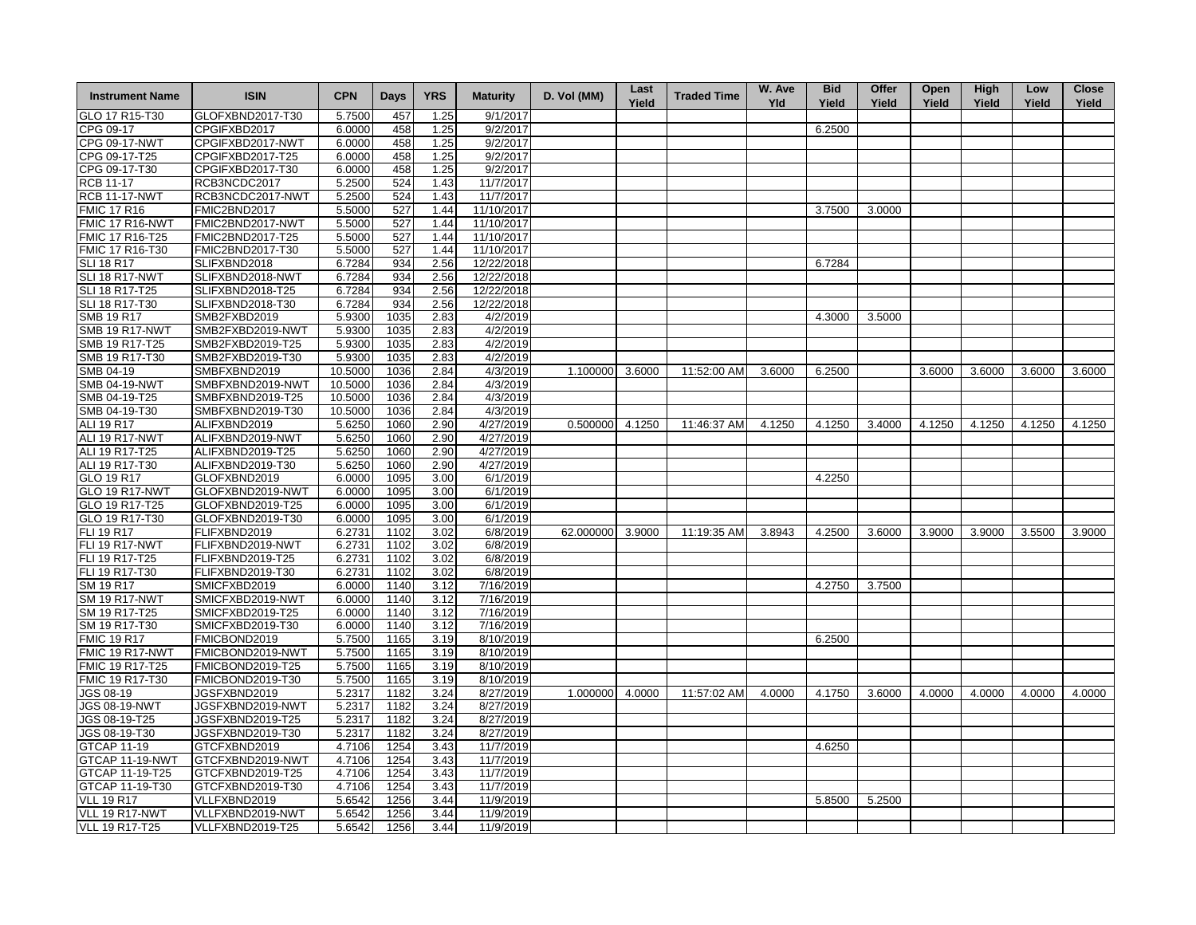| <b>Instrument Name</b>             | <b>ISIN</b>                          | <b>CPN</b>       | Days         | <b>YRS</b>   | <b>Maturity</b>        | D. Vol (MM)      | Last<br>Yield | <b>Traded Time</b> | W. Ave<br><b>Yld</b> | <b>Bid</b><br>Yield | Offer<br>Yield | Open<br>Yield | <b>High</b><br>Yield | Low<br>Yield | <b>Close</b><br>Yield |
|------------------------------------|--------------------------------------|------------------|--------------|--------------|------------------------|------------------|---------------|--------------------|----------------------|---------------------|----------------|---------------|----------------------|--------------|-----------------------|
| GLO 17 R15-T30                     | GLOFXBND2017-T30                     | 5.7500           | 457          | 1.25         | 9/1/2017               |                  |               |                    |                      |                     |                |               |                      |              |                       |
| CPG 09-17                          | CPGIFXBD2017                         | 6.0000           | 458          | 1.25         | 9/2/2017               |                  |               |                    |                      | 6.2500              |                |               |                      |              |                       |
| <b>CPG 09-17-NWT</b>               | CPGIFXBD2017-NWT                     | 6.0000           | 458          | 1.25         | 9/2/2017               |                  |               |                    |                      |                     |                |               |                      |              |                       |
| CPG 09-17-T25                      | CPGIFXBD2017-T25                     | 6.0000           | 458          | 1.25         | 9/2/2017               |                  |               |                    |                      |                     |                |               |                      |              |                       |
| CPG 09-17-T30                      | CPGIFXBD2017-T30                     | 6.0000           | 458          | 1.25         | 9/2/2017               |                  |               |                    |                      |                     |                |               |                      |              |                       |
| <b>RCB 11-17</b>                   | RCB3NCDC2017                         | 5.2500           | 524          | 1.43         | 11/7/2017              |                  |               |                    |                      |                     |                |               |                      |              |                       |
| <b>RCB 11-17-NWT</b>               | RCB3NCDC2017-NWT                     | 5.2500           | 524          | 1.43         | 11/7/2017              |                  |               |                    |                      |                     |                |               |                      |              |                       |
| <b>FMIC 17 R16</b>                 | FMIC2BND2017                         | 5.5000           | 527          | 1.44         | 11/10/2017             |                  |               |                    |                      | 3.7500              | 3.0000         |               |                      |              |                       |
| <b>FMIC 17 R16-NWT</b>             | FMIC2BND2017-NWT                     | 5.5000           | 527          | 1.44         | 11/10/2017             |                  |               |                    |                      |                     |                |               |                      |              |                       |
| FMIC 17 R16-T25                    | FMIC2BND2017-T25                     | 5.5000           | 527          | 1.44         | 11/10/2017             |                  |               |                    |                      |                     |                |               |                      |              |                       |
| FMIC 17 R16-T30                    | FMIC2BND2017-T30                     | 5.5000           | 527          | 1.44         | 11/10/2017             |                  |               |                    |                      |                     |                |               |                      |              |                       |
| <b>SLI 18 R17</b>                  | SLIFXBND2018                         | 6.7284           | 934          | 2.56         | 12/22/2018             |                  |               |                    |                      | 6.7284              |                |               |                      |              |                       |
| SLI 18 R17-NWT                     | SLIFXBND2018-NWT                     | 6.7284           | 934          | 2.56         | 12/22/2018             |                  |               |                    |                      |                     |                |               |                      |              |                       |
| SLI 18 R17-T25                     | SLIFXBND2018-T25                     | 6.7284           | 934          | 2.56         | 12/22/2018             |                  |               |                    |                      |                     |                |               |                      |              |                       |
| SLI 18 R17-T30                     | SLIFXBND2018-T30                     | 6.7284           | 934          | 2.56         | 12/22/2018             |                  |               |                    |                      |                     |                |               |                      |              |                       |
| <b>SMB 19 R17</b>                  | SMB2FXBD2019                         | 5.9300           | 1035         | 2.83         | 4/2/2019               |                  |               |                    |                      | 4.3000              | 3.5000         |               |                      |              |                       |
| <b>SMB 19 R17-NWT</b>              | SMB2FXBD2019-NWT                     | 5.9300           | 1035         | 2.83         | 4/2/2019               |                  |               |                    |                      |                     |                |               |                      |              |                       |
| SMB 19 R17-T25                     | SMB2FXBD2019-T25                     | 5.9300           | 1035         | 2.83         | 4/2/2019               |                  |               |                    |                      |                     |                |               |                      |              |                       |
| SMB 19 R17-T30                     | SMB2FXBD2019-T30                     | 5.9300           | 1035         | 2.83         | 4/2/2019               |                  |               |                    |                      |                     |                |               |                      |              |                       |
| SMB 04-19                          | SMBFXBND2019                         | 10.5000          | 1036         | 2.84         | 4/3/2019               | 1.100000         | 3.6000        | 11:52:00 AM        | 3.6000               | 6.2500              |                | 3.6000        | 3.6000               | 3.6000       | 3.6000                |
| <b>SMB 04-19-NWT</b>               | SMBFXBND2019-NWT                     | 10.5000          | 1036         | 2.84         | 4/3/2019               |                  |               |                    |                      |                     |                |               |                      |              |                       |
| SMB 04-19-T25                      | SMBFXBND2019-T25                     | 10.5000          | 1036         | 2.84         | 4/3/2019               |                  |               |                    |                      |                     |                |               |                      |              |                       |
| SMB 04-19-T30                      | SMBFXBND2019-T30                     | 10.5000          | 1036         | 2.84         | 4/3/2019               |                  |               |                    |                      |                     |                |               |                      |              |                       |
| ALI 19 R17                         | ALIFXBND2019                         | 5.6250           | 1060         | 2.90         | 4/27/2019              | 0.500000 4.1250  |               | 11:46:37 AM        | 4.1250               | 4.1250              | 3.4000         | 4.1250        | 4.1250               | 4.1250       | 4.1250                |
| <b>ALI 19 R17-NWT</b>              | ALIFXBND2019-NWT                     | 5.6250           | 1060         | 2.90         | 4/27/2019              |                  |               |                    |                      |                     |                |               |                      |              |                       |
| ALI 19 R17-T25                     | ALIFXBND2019-T25                     | 5.6250           | 1060         | 2.90         | 4/27/2019              |                  |               |                    |                      |                     |                |               |                      |              |                       |
| ALI 19 R17-T30                     | ALIFXBND2019-T30                     | 5.6250           | 1060         | 2.90         | 4/27/2019              |                  |               |                    |                      |                     |                |               |                      |              |                       |
| GLO 19 R17                         | GLOFXBND2019                         | 6.0000           | 1095         | 3.00         | 6/1/2019               |                  |               |                    |                      | 4.2250              |                |               |                      |              |                       |
| <b>GLO 19 R17-NWT</b>              | GLOFXBND2019-NWT                     | 6.0000           | 1095         | 3.00         | 6/1/2019               |                  |               |                    |                      |                     |                |               |                      |              |                       |
| GLO 19 R17-T25                     | GLOFXBND2019-T25                     | 6.0000           | 1095         | 3.00         | 6/1/2019               |                  |               |                    |                      |                     |                |               |                      |              |                       |
| GLO 19 R17-T30                     | GLOFXBND2019-T30                     | 6.0000           | 1095         | 3.00         | 6/1/2019               |                  |               |                    |                      |                     |                |               |                      |              |                       |
| <b>FLI 19 R17</b>                  | FLIFXBND2019                         | 6.2731           | 1102         | 3.02         | 6/8/2019               | 62.000000 3.9000 |               | 11:19:35 AM        | 3.8943               | 4.2500              | 3.6000         | 3.9000        | 3.9000               | 3.5500       | 3.9000                |
| <b>FLI 19 R17-NWT</b>              | FLIFXBND2019-NWT                     | 6.2731           | 1102         | 3.02         | 6/8/2019               |                  |               |                    |                      |                     |                |               |                      |              |                       |
| FLI 19 R17-T25                     | FLIFXBND2019-T25                     | 6.2731           | 1102         | 3.02         | 6/8/2019               |                  |               |                    |                      |                     |                |               |                      |              |                       |
| FLI 19 R17-T30                     | FLIFXBND2019-T30                     | 6.2731           | 1102         | 3.02         | 6/8/2019               |                  |               |                    |                      |                     |                |               |                      |              |                       |
| SM 19 R17                          | SMICFXBD2019                         |                  |              |              | 7/16/2019              |                  |               |                    |                      | 4.2750              |                |               |                      |              |                       |
|                                    | SMICFXBD2019-NWT                     | 6.0000           | 1140         | 3.12         | 7/16/2019              |                  |               |                    |                      |                     | 3.7500         |               |                      |              |                       |
| <b>SM 19 R17-NWT</b>               |                                      | 6.0000           | 1140<br>1140 | 3.12<br>3.12 |                        |                  |               |                    |                      |                     |                |               |                      |              |                       |
| SM 19 R17-T25<br>SM 19 R17-T30     | SMICFXBD2019-T25<br>SMICFXBD2019-T30 | 6.0000           |              |              | 7/16/2019<br>7/16/2019 |                  |               |                    |                      |                     |                |               |                      |              |                       |
|                                    |                                      | 6.0000           | 1140         | 3.12         | 8/10/2019              |                  |               |                    |                      |                     |                |               |                      |              |                       |
| <b>FMIC 19 R17</b>                 | FMICBOND2019                         | 5.7500           | 1165<br>1165 | 3.19         |                        |                  |               |                    |                      | 6.2500              |                |               |                      |              |                       |
| FMIC 19 R17-NWT                    | FMICBOND2019-NWT                     | 5.7500           |              | 3.19         | 8/10/2019              |                  |               |                    |                      |                     |                |               |                      |              |                       |
| FMIC 19 R17-T25<br>FMIC 19 R17-T30 | FMICBOND2019-T25                     | 5.7500<br>5.7500 | 1165<br>1165 | 3.19<br>3.19 | 8/10/2019<br>8/10/2019 |                  |               |                    |                      |                     |                |               |                      |              |                       |
|                                    | FMICBOND2019-T30                     |                  | 1182         |              |                        | 1.000000         |               |                    | 4.0000               | 4.1750              | 3.6000         | 4.0000        | 4.0000               | 4.0000       | 4.0000                |
| <b>JGS 08-19</b><br>JGS 08-19-NWT  | JGSFXBND2019<br>JGSFXBND2019-NWT     | 5.2317<br>5.2317 | 1182         | 3.24<br>3.24 | 8/27/2019<br>8/27/2019 |                  | 4.0000        | 11:57:02 AM        |                      |                     |                |               |                      |              |                       |
| JGS 08-19-T25                      | JGSFXBND2019-T25                     | 5.2317           | 1182         | 3.24         | 8/27/2019              |                  |               |                    |                      |                     |                |               |                      |              |                       |
| JGS 08-19-T30                      | JGSFXBND2019-T30                     | 5.2317           | 1182         | 3.24         | 8/27/2019              |                  |               |                    |                      |                     |                |               |                      |              |                       |
| <b>GTCAP 11-19</b>                 | GTCFXBND2019                         | 4.7106           | 1254         | 3.43         | 11/7/2019              |                  |               |                    |                      | 4.6250              |                |               |                      |              |                       |
| GTCAP 11-19-NWT                    | GTCFXBND2019-NWT                     | 4.7106           | 1254         | 3.43         | 11/7/2019              |                  |               |                    |                      |                     |                |               |                      |              |                       |
| GTCAP 11-19-T25                    |                                      | 4.7106           | 1254         | 3.43         | 11/7/2019              |                  |               |                    |                      |                     |                |               |                      |              |                       |
|                                    | GTCFXBND2019-T25                     |                  |              |              |                        |                  |               |                    |                      |                     |                |               |                      |              |                       |
| GTCAP 11-19-T30                    | GTCFXBND2019-T30                     | 4.7106           | 1254         | 3.43         | 11/7/2019              |                  |               |                    |                      |                     |                |               |                      |              |                       |
| <b>VLL 19 R17</b>                  | VLLFXBND2019                         | 5.6542           | 1256         | 3.44         | 11/9/2019              |                  |               |                    |                      | 5.8500              | 5.2500         |               |                      |              |                       |
| VLL 19 R17-NWT                     | VLLFXBND2019-NWT                     | 5.6542           | 1256         | 3.44         | 11/9/2019              |                  |               |                    |                      |                     |                |               |                      |              |                       |
| VLL 19 R17-T25                     | VLLFXBND2019-T25                     | 5.6542           | 1256         | 3.44         | 11/9/2019              |                  |               |                    |                      |                     |                |               |                      |              |                       |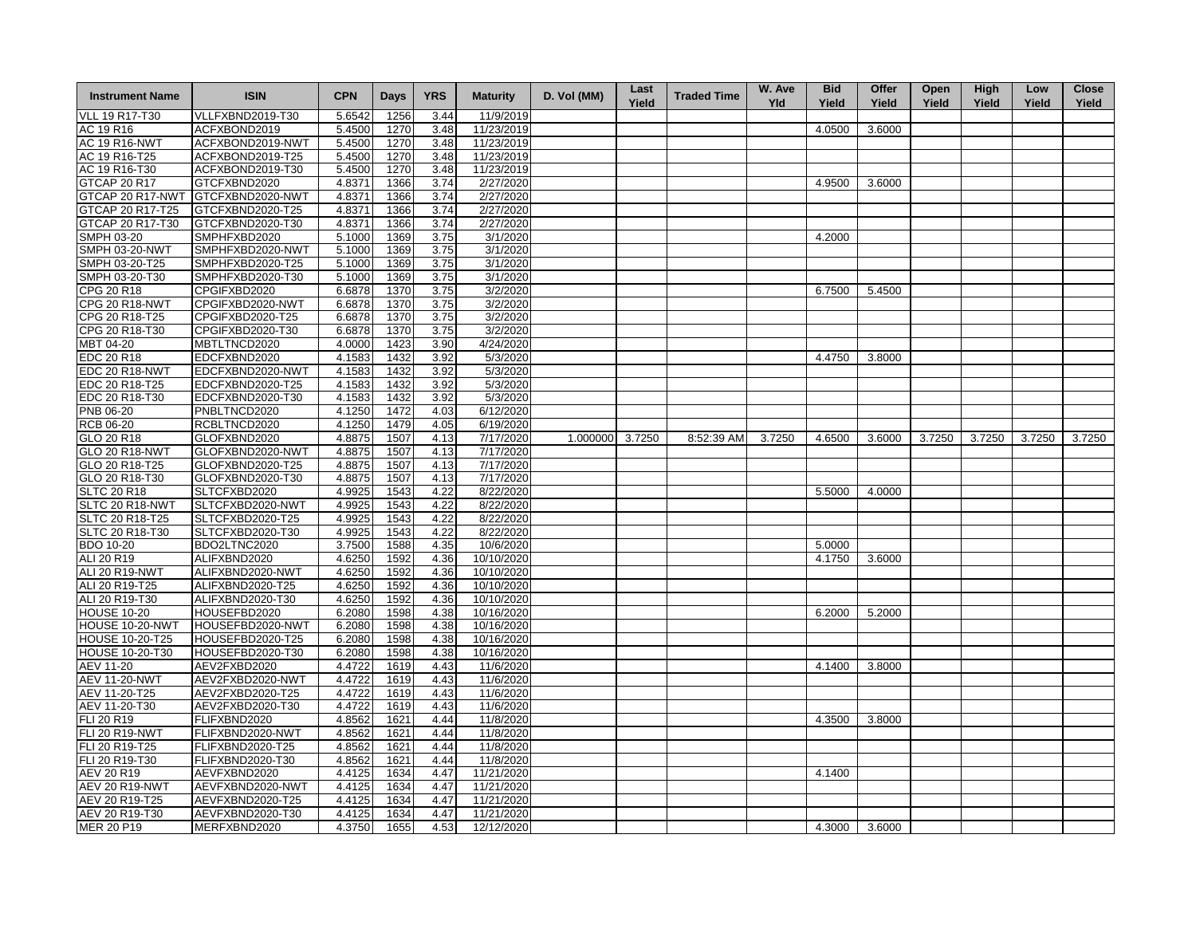| <b>Instrument Name</b> | <b>ISIN</b>      | <b>CPN</b> | Days | <b>YRS</b> | <b>Maturity</b> | D. Vol (MM)     | Last<br>Yield | <b>Traded Time</b> | W. Ave<br><b>Yld</b> | <b>Bid</b><br>Yield | Offer<br>Yield | Open<br>Yield | <b>High</b><br>Yield | Low<br>Yield | <b>Close</b><br>Yield |
|------------------------|------------------|------------|------|------------|-----------------|-----------------|---------------|--------------------|----------------------|---------------------|----------------|---------------|----------------------|--------------|-----------------------|
| <b>VLL 19 R17-T30</b>  | VLLFXBND2019-T30 | 5.6542     | 1256 | 3.44       | 11/9/2019       |                 |               |                    |                      |                     |                |               |                      |              |                       |
| AC 19 R16              | ACFXBOND2019     | 5.4500     | 1270 | 3.48       | 11/23/2019      |                 |               |                    |                      | 4.0500              | 3.6000         |               |                      |              |                       |
| <b>AC 19 R16-NWT</b>   | ACFXBOND2019-NWT | 5.4500     | 1270 | 3.48       | 11/23/2019      |                 |               |                    |                      |                     |                |               |                      |              |                       |
| AC 19 R16-T25          | ACFXBOND2019-T25 | 5.4500     | 1270 | 3.48       | 11/23/2019      |                 |               |                    |                      |                     |                |               |                      |              |                       |
| AC 19 R16-T30          | ACFXBOND2019-T30 | 5.4500     | 1270 | 3.48       | 11/23/2019      |                 |               |                    |                      |                     |                |               |                      |              |                       |
| <b>GTCAP 20 R17</b>    | GTCFXBND2020     | 4.8371     | 1366 | 3.74       | 2/27/2020       |                 |               |                    |                      | 4.9500              | 3.6000         |               |                      |              |                       |
| GTCAP 20 R17-NWT       | GTCFXBND2020-NWT | 4.8371     | 1366 | 3.74       | 2/27/2020       |                 |               |                    |                      |                     |                |               |                      |              |                       |
| GTCAP 20 R17-T25       | GTCFXBND2020-T25 | 4.8371     | 1366 | 3.74       | 2/27/2020       |                 |               |                    |                      |                     |                |               |                      |              |                       |
| GTCAP 20 R17-T30       | GTCFXBND2020-T30 | 4.8371     | 1366 | 3.74       | 2/27/2020       |                 |               |                    |                      |                     |                |               |                      |              |                       |
| SMPH 03-20             | SMPHFXBD2020     | 5.1000     | 1369 | 3.75       | 3/1/2020        |                 |               |                    |                      | 4.2000              |                |               |                      |              |                       |
| <b>SMPH 03-20-NWT</b>  | SMPHFXBD2020-NWT | 5.1000     | 1369 | 3.75       | 3/1/2020        |                 |               |                    |                      |                     |                |               |                      |              |                       |
| SMPH 03-20-T25         | SMPHFXBD2020-T25 | 5.1000     | 1369 | 3.75       | 3/1/2020        |                 |               |                    |                      |                     |                |               |                      |              |                       |
| SMPH 03-20-T30         | SMPHFXBD2020-T30 | 5.1000     | 1369 | 3.75       | 3/1/2020        |                 |               |                    |                      |                     |                |               |                      |              |                       |
| CPG 20 R18             | CPGIFXBD2020     | 6.6878     | 1370 | 3.75       | 3/2/2020        |                 |               |                    |                      | 6.7500              | 5.4500         |               |                      |              |                       |
| <b>CPG 20 R18-NWT</b>  | CPGIFXBD2020-NWT | 6.6878     | 1370 | 3.75       | 3/2/2020        |                 |               |                    |                      |                     |                |               |                      |              |                       |
| CPG 20 R18-T25         | CPGIFXBD2020-T25 | 6.6878     | 1370 | 3.75       | 3/2/2020        |                 |               |                    |                      |                     |                |               |                      |              |                       |
| CPG 20 R18-T30         | CPGIFXBD2020-T30 | 6.6878     | 1370 | 3.75       | 3/2/2020        |                 |               |                    |                      |                     |                |               |                      |              |                       |
| MBT 04-20              | MBTLTNCD2020     | 4.0000     | 1423 | 3.90       | 4/24/2020       |                 |               |                    |                      |                     |                |               |                      |              |                       |
| <b>EDC 20 R18</b>      | EDCFXBND2020     | 4.1583     | 1432 | 3.92       | 5/3/2020        |                 |               |                    |                      | 4.4750              | 3.8000         |               |                      |              |                       |
|                        |                  |            | 1432 |            |                 |                 |               |                    |                      |                     |                |               |                      |              |                       |
| EDC 20 R18-NWT         | EDCFXBND2020-NWT | 4.1583     |      | 3.92       | 5/3/2020        |                 |               |                    |                      |                     |                |               |                      |              |                       |
| EDC 20 R18-T25         | EDCFXBND2020-T25 | 4.1583     | 1432 | 3.92       | 5/3/2020        |                 |               |                    |                      |                     |                |               |                      |              |                       |
| EDC 20 R18-T30         | EDCFXBND2020-T30 | 4.1583     | 1432 | 3.92       | 5/3/2020        |                 |               |                    |                      |                     |                |               |                      |              |                       |
| PNB 06-20              | PNBLTNCD2020     | 4.1250     | 1472 | 4.03       | 6/12/2020       |                 |               |                    |                      |                     |                |               |                      |              |                       |
| <b>RCB 06-20</b>       | RCBLTNCD2020     | 4.1250     | 1479 | 4.05       | 6/19/2020       |                 |               |                    |                      |                     |                |               |                      |              |                       |
| GLO 20 R18             | GLOFXBND2020     | 4.8875     | 1507 | 4.13       | 7/17/2020       | 1.000000 3.7250 |               | 8:52:39 AM         | 3.7250               | 4.6500              | 3.6000         | 3.7250        | 3.7250               | 3.7250       | 3.7250                |
| GLO 20 R18-NWT         | GLOFXBND2020-NWT | 4.8875     | 1507 | 4.13       | 7/17/2020       |                 |               |                    |                      |                     |                |               |                      |              |                       |
| GLO 20 R18-T25         | GLOFXBND2020-T25 | 4.8875     | 1507 | 4.13       | 7/17/2020       |                 |               |                    |                      |                     |                |               |                      |              |                       |
| GLO 20 R18-T30         | GLOFXBND2020-T30 | 4.8875     | 1507 | 4.13       | 7/17/2020       |                 |               |                    |                      |                     |                |               |                      |              |                       |
| <b>SLTC 20 R18</b>     | SLTCFXBD2020     | 4.9925     | 1543 | 4.22       | 8/22/2020       |                 |               |                    |                      | 5.5000              | 4.0000         |               |                      |              |                       |
| <b>SLTC 20 R18-NWT</b> | SLTCFXBD2020-NWT | 4.9925     | 1543 | 4.22       | 8/22/2020       |                 |               |                    |                      |                     |                |               |                      |              |                       |
| SLTC 20 R18-T25        | SLTCFXBD2020-T25 | 4.9925     | 1543 | 4.22       | 8/22/2020       |                 |               |                    |                      |                     |                |               |                      |              |                       |
| SLTC 20 R18-T30        | SLTCFXBD2020-T30 | 4.9925     | 1543 | 4.22       | 8/22/2020       |                 |               |                    |                      |                     |                |               |                      |              |                       |
| <b>BDO 10-20</b>       | BDO2LTNC2020     | 3.7500     | 1588 | 4.35       | 10/6/2020       |                 |               |                    |                      | 5.0000              |                |               |                      |              |                       |
| ALI 20 R19             | ALIFXBND2020     | 4.6250     | 1592 | 4.36       | 10/10/2020      |                 |               |                    |                      | 4.1750              | 3.6000         |               |                      |              |                       |
| ALI 20 R19-NWT         | ALIFXBND2020-NWT | 4.6250     | 1592 | 4.36       | 10/10/2020      |                 |               |                    |                      |                     |                |               |                      |              |                       |
| ALI 20 R19-T25         | ALIFXBND2020-T25 | 4.6250     | 1592 | 4.36       | 10/10/2020      |                 |               |                    |                      |                     |                |               |                      |              |                       |
| ALI 20 R19-T30         | ALIFXBND2020-T30 | 4.6250     | 1592 | 4.36       | 10/10/2020      |                 |               |                    |                      |                     |                |               |                      |              |                       |
| <b>HOUSE 10-20</b>     | HOUSEFBD2020     | 6.2080     | 1598 | 4.38       | 10/16/2020      |                 |               |                    |                      | 6.2000              | 5.2000         |               |                      |              |                       |
| HOUSE 10-20-NWT        | HOUSEFBD2020-NWT | 6.2080     | 1598 | 4.38       | 10/16/2020      |                 |               |                    |                      |                     |                |               |                      |              |                       |
| <b>HOUSE 10-20-T25</b> | HOUSEFBD2020-T25 | 6.2080     | 1598 | 4.38       | 10/16/2020      |                 |               |                    |                      |                     |                |               |                      |              |                       |
| <b>HOUSE 10-20-T30</b> | HOUSEFBD2020-T30 | 6.2080     | 1598 | 4.38       | 10/16/2020      |                 |               |                    |                      |                     |                |               |                      |              |                       |
| AEV 11-20              | AEV2FXBD2020     | 4.4722     | 1619 | 4.43       | 11/6/2020       |                 |               |                    |                      | 4.1400              | 3.8000         |               |                      |              |                       |
| <b>AEV 11-20-NWT</b>   | AEV2FXBD2020-NWT | 4.4722     | 1619 | 4.43       | 11/6/2020       |                 |               |                    |                      |                     |                |               |                      |              |                       |
| AEV 11-20-T25          | AEV2FXBD2020-T25 | 4.4722     | 1619 | 4.43       | 11/6/2020       |                 |               |                    |                      |                     |                |               |                      |              |                       |
| AEV 11-20-T30          | AEV2FXBD2020-T30 | 4.4722     | 1619 | 4.43       | 11/6/2020       |                 |               |                    |                      |                     |                |               |                      |              |                       |
| FLI 20 R19             | FLIFXBND2020     | 4.8562     | 1621 | 4.44       | 11/8/2020       |                 |               |                    |                      | 4.3500              | 3.8000         |               |                      |              |                       |
| <b>FLI 20 R19-NWT</b>  | FLIFXBND2020-NWT | 4.8562     | 1621 | 4.44       | 11/8/2020       |                 |               |                    |                      |                     |                |               |                      |              |                       |
| FLI 20 R19-T25         | FLIFXBND2020-T25 | 4.8562     | 1621 | 4.44       | 11/8/2020       |                 |               |                    |                      |                     |                |               |                      |              |                       |
| FLI 20 R19-T30         | FLIFXBND2020-T30 | 4.8562     | 1621 | 4.44       | 11/8/2020       |                 |               |                    |                      |                     |                |               |                      |              |                       |
| <b>AEV 20 R19</b>      | AEVFXBND2020     | 4.4125     | 1634 | 4.47       | 11/21/2020      |                 |               |                    |                      | 4.1400              |                |               |                      |              |                       |
| AEV 20 R19-NWT         | AEVFXBND2020-NWT | 4.4125     | 1634 | 4.47       | 11/21/2020      |                 |               |                    |                      |                     |                |               |                      |              |                       |
| AEV 20 R19-T25         | AEVFXBND2020-T25 | 4.4125     | 1634 | 4.47       | 11/21/2020      |                 |               |                    |                      |                     |                |               |                      |              |                       |
| AEV 20 R19-T30         | AEVFXBND2020-T30 | 4.4125     | 1634 | 4.47       | 11/21/2020      |                 |               |                    |                      |                     |                |               |                      |              |                       |
| <b>MER 20 P19</b>      | MERFXBND2020     | 4.3750     | 1655 | 4.53       | 12/12/2020      |                 |               |                    |                      | 4.3000              | 3.6000         |               |                      |              |                       |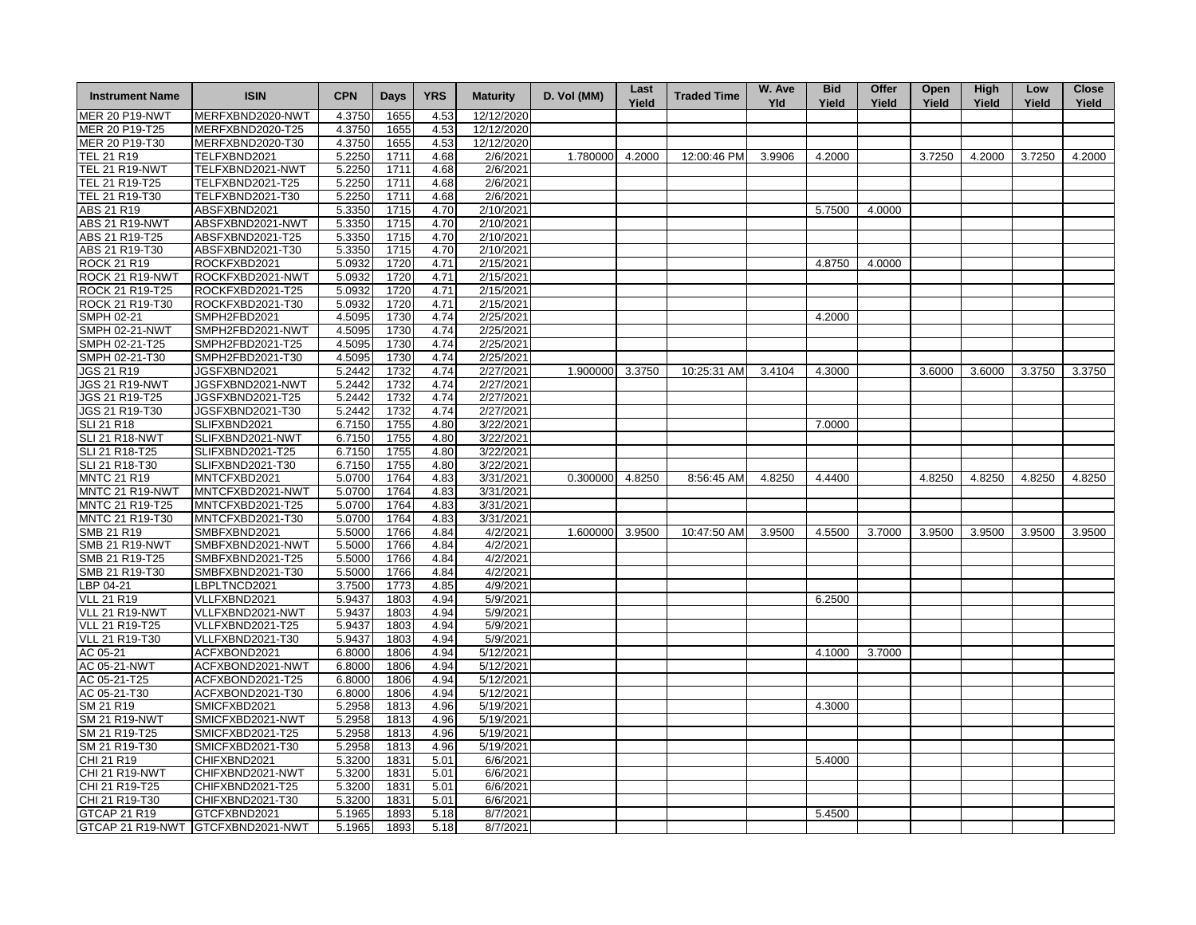| <b>Instrument Name</b> | <b>ISIN</b>                       | <b>CPN</b> | <b>Days</b> | <b>YRS</b> | <b>Maturity</b> | D. Vol (MM)     | Last<br>Yield | <b>Traded Time</b> | W. Ave<br>Yld | <b>Bid</b><br>Yield | Offer<br>Yield | Open<br>Yield | <b>High</b><br>Yield | Low<br>Yield | <b>Close</b><br>Yield |
|------------------------|-----------------------------------|------------|-------------|------------|-----------------|-----------------|---------------|--------------------|---------------|---------------------|----------------|---------------|----------------------|--------------|-----------------------|
| <b>MER 20 P19-NWT</b>  | MERFXBND2020-NWT                  | 4.3750     | 1655        | 4.53       | 12/12/2020      |                 |               |                    |               |                     |                |               |                      |              |                       |
| MER 20 P19-T25         | MERFXBND2020-T25                  | 4.3750     | 1655        | 4.53       | 12/12/2020      |                 |               |                    |               |                     |                |               |                      |              |                       |
| MER 20 P19-T30         | MERFXBND2020-T30                  | 4.3750     | 1655        | 4.53       | 12/12/2020      |                 |               |                    |               |                     |                |               |                      |              |                       |
| TEL 21 R19             | TELFXBND2021                      | 5.2250     | 1711        | 4.68       | 2/6/2021        | 1.780000        | 4.2000        | 12:00:46 PM        | 3.9906        | 4.2000              |                | 3.7250        | 4.2000               | 3.7250       | 4.2000                |
| <b>TEL 21 R19-NWT</b>  | TELFXBND2021-NWT                  | 5.2250     | 1711        | 4.68       | 2/6/2021        |                 |               |                    |               |                     |                |               |                      |              |                       |
| TEL 21 R19-T25         | TELFXBND2021-T25                  | 5.2250     | 1711        | 4.68       | 2/6/2021        |                 |               |                    |               |                     |                |               |                      |              |                       |
| TEL 21 R19-T30         | TELFXBND2021-T30                  | 5.2250     | 1711        | 4.68       | 2/6/2021        |                 |               |                    |               |                     |                |               |                      |              |                       |
| ABS 21 R19             | ABSFXBND2021                      | 5.3350     | 1715        | 4.70       | 2/10/2021       |                 |               |                    |               | 5.7500              | 4.0000         |               |                      |              |                       |
| <b>ABS 21 R19-NWT</b>  | ABSFXBND2021-NWT                  | 5.3350     | 1715        | 4.70       | 2/10/2021       |                 |               |                    |               |                     |                |               |                      |              |                       |
| ABS 21 R19-T25         | ABSFXBND2021-T25                  | 5.3350     | 1715        | 4.70       | 2/10/2021       |                 |               |                    |               |                     |                |               |                      |              |                       |
| ABS 21 R19-T30         | ABSFXBND2021-T30                  | 5.3350     | 1715        | 4.70       | 2/10/2021       |                 |               |                    |               |                     |                |               |                      |              |                       |
| <b>ROCK 21 R19</b>     | ROCKFXBD2021                      | 5.0932     | 1720        | 4.71       | 2/15/2021       |                 |               |                    |               | 4.8750              | 4.0000         |               |                      |              |                       |
| ROCK 21 R19-NWT        | ROCKFXBD2021-NWT                  | 5.0932     | 1720        | 4.71       | 2/15/2021       |                 |               |                    |               |                     |                |               |                      |              |                       |
| ROCK 21 R19-T25        | ROCKFXBD2021-T25                  | 5.0932     | 1720        | 4.71       | 2/15/2021       |                 |               |                    |               |                     |                |               |                      |              |                       |
| ROCK 21 R19-T30        | ROCKFXBD2021-T30                  | 5.0932     | 1720        | 4.71       | 2/15/2021       |                 |               |                    |               |                     |                |               |                      |              |                       |
| SMPH 02-21             | SMPH2FBD2021                      | 4.5095     | 1730        | 4.74       | 2/25/2021       |                 |               |                    |               | 4.2000              |                |               |                      |              |                       |
| <b>SMPH 02-21-NWT</b>  | SMPH2FBD2021-NWT                  | 4.5095     | 1730        | 4.74       | 2/25/2021       |                 |               |                    |               |                     |                |               |                      |              |                       |
| SMPH 02-21-T25         | SMPH2FBD2021-T25                  | 4.5095     | 1730        | 4.74       | 2/25/2021       |                 |               |                    |               |                     |                |               |                      |              |                       |
| SMPH 02-21-T30         | SMPH2FBD2021-T30                  | 4.5095     | 1730        | 4.74       | 2/25/2021       |                 |               |                    |               |                     |                |               |                      |              |                       |
| <b>JGS 21 R19</b>      | JGSFXBND2021                      | 5.2442     | 1732        | 4.74       | 2/27/2021       | 1.900000 3.3750 |               | 10:25:31 AM        | 3.4104        | 4.3000              |                | 3.6000        | 3.6000               | 3.3750       | 3.3750                |
| JGS 21 R19-NWT         | JGSFXBND2021-NWT                  | 5.2442     | 1732        | 4.74       | 2/27/2021       |                 |               |                    |               |                     |                |               |                      |              |                       |
| JGS 21 R19-T25         | JGSFXBND2021-T25                  | 5.2442     | 1732        | 4.74       | 2/27/2021       |                 |               |                    |               |                     |                |               |                      |              |                       |
| JGS 21 R19-T30         | JGSFXBND2021-T30                  | 5.2442     | 1732        | 4.74       | 2/27/2021       |                 |               |                    |               |                     |                |               |                      |              |                       |
| <b>SLI 21 R18</b>      | SLIFXBND2021                      | 6.7150     | 1755        | 4.80       | 3/22/2021       |                 |               |                    |               | 7.0000              |                |               |                      |              |                       |
| <b>SLI 21 R18-NWT</b>  | SLIFXBND2021-NWT                  | 6.7150     | 1755        | 4.80       | 3/22/2021       |                 |               |                    |               |                     |                |               |                      |              |                       |
| SLI 21 R18-T25         | SLIFXBND2021-T25                  | 6.7150     | 1755        | 4.80       | 3/22/2021       |                 |               |                    |               |                     |                |               |                      |              |                       |
| SLI 21 R18-T30         | SLIFXBND2021-T30                  | 6.7150     | 1755        | 4.80       | 3/22/2021       |                 |               |                    |               |                     |                |               |                      |              |                       |
| <b>MNTC 21 R19</b>     | MNTCFXBD2021                      | 5.0700     | 1764        | 4.83       | 3/31/2021       | 0.300000 4.8250 |               | 8:56:45 AM         | 4.8250        | 4.4400              |                | 4.8250        | 4.8250               | 4.8250       | 4.8250                |
| MNTC 21 R19-NWT        | MNTCFXBD2021-NWT                  | 5.0700     | 1764        | 4.83       | 3/31/2021       |                 |               |                    |               |                     |                |               |                      |              |                       |
| MNTC 21 R19-T25        | MNTCFXBD2021-T25                  | 5.0700     | 1764        | 4.83       | 3/31/2021       |                 |               |                    |               |                     |                |               |                      |              |                       |
| MNTC 21 R19-T30        | MNTCFXBD2021-T30                  | 5.0700     | 1764        | 4.83       | 3/31/2021       |                 |               |                    |               |                     |                |               |                      |              |                       |
| SMB 21 R19             | SMBFXBND2021                      | 5.5000     | 1766        | 4.84       | 4/2/2021        | 1.600000 3.9500 |               | 10:47:50 AM        | 3.9500        | 4.5500              | 3.7000         | 3.9500        | 3.9500               | 3.9500       | 3.9500                |
| <b>SMB 21 R19-NWT</b>  | SMBFXBND2021-NWT                  | 5.5000     | 1766        | 4.84       | 4/2/2021        |                 |               |                    |               |                     |                |               |                      |              |                       |
| SMB 21 R19-T25         | SMBFXBND2021-T25                  | 5.5000     | 1766        | 4.84       | 4/2/2021        |                 |               |                    |               |                     |                |               |                      |              |                       |
| SMB 21 R19-T30         | SMBFXBND2021-T30                  | 5.5000     | 1766        | 4.84       | 4/2/2021        |                 |               |                    |               |                     |                |               |                      |              |                       |
| LBP 04-21              | LBPLTNCD2021                      | 3.7500     | 1773        | 4.85       | 4/9/2021        |                 |               |                    |               |                     |                |               |                      |              |                       |
| <b>VLL 21 R19</b>      | VLLFXBND2021                      | 5.9437     | 1803        | 4.94       | 5/9/2021        |                 |               |                    |               | 6.2500              |                |               |                      |              |                       |
| <b>VLL 21 R19-NWT</b>  | VLLFXBND2021-NWT                  | 5.9437     | 1803        | 4.94       | 5/9/2021        |                 |               |                    |               |                     |                |               |                      |              |                       |
| <b>VLL 21 R19-T25</b>  | VLLFXBND2021-T25                  | 5.9437     | 1803        | 4.94       | 5/9/2021        |                 |               |                    |               |                     |                |               |                      |              |                       |
| VLL 21 R19-T30         | VLLFXBND2021-T30                  | 5.9437     | 1803        | 4.94       | 5/9/2021        |                 |               |                    |               |                     |                |               |                      |              |                       |
| AC 05-21               | ACFXBOND2021                      | 6.8000     | 1806        | 4.94       | 5/12/2021       |                 |               |                    |               | 4.1000              | 3.7000         |               |                      |              |                       |
| AC 05-21-NWT           | ACFXBOND2021-NWT                  | 6.8000     | 1806        | 4.94       | 5/12/2021       |                 |               |                    |               |                     |                |               |                      |              |                       |
| AC 05-21-T25           | ACFXBOND2021-T25                  | 6.8000     | 1806        | 4.94       | 5/12/2021       |                 |               |                    |               |                     |                |               |                      |              |                       |
| AC 05-21-T30           | ACFXBOND2021-T30                  | 6.8000     | 1806        | 4.94       | 5/12/2021       |                 |               |                    |               |                     |                |               |                      |              |                       |
| SM 21 R19              | SMICFXBD2021                      | 5.2958     | 1813        | 4.96       | 5/19/2021       |                 |               |                    |               | 4.3000              |                |               |                      |              |                       |
| <b>SM 21 R19-NWT</b>   | SMICFXBD2021-NWT                  | 5.2958     | 1813        | 4.96       | 5/19/2021       |                 |               |                    |               |                     |                |               |                      |              |                       |
| SM 21 R19-T25          | SMICFXBD2021-T25                  | 5.2958     | 1813        | 4.96       | 5/19/2021       |                 |               |                    |               |                     |                |               |                      |              |                       |
| SM 21 R19-T30          | SMICFXBD2021-T30                  | 5.2958     | 1813        | 4.96       | 5/19/2021       |                 |               |                    |               |                     |                |               |                      |              |                       |
| CHI 21 R19             | CHIFXBND2021                      | 5.3200     | 1831        | 5.01       | 6/6/2021        |                 |               |                    |               | 5.4000              |                |               |                      |              |                       |
| CHI 21 R19-NWT         | CHIFXBND2021-NWT                  | 5.3200     | 1831        | 5.01       | 6/6/2021        |                 |               |                    |               |                     |                |               |                      |              |                       |
| CHI 21 R19-T25         | CHIFXBND2021-T25                  | 5.3200     | 1831        | 5.01       | 6/6/2021        |                 |               |                    |               |                     |                |               |                      |              |                       |
| CHI 21 R19-T30         | CHIFXBND2021-T30                  | 5.3200     | 1831        | 5.01       | 6/6/2021        |                 |               |                    |               |                     |                |               |                      |              |                       |
| GTCAP 21 R19           | GTCFXBND2021                      | 5.1965     | 1893        | 5.18       | 8/7/2021        |                 |               |                    |               | 5.4500              |                |               |                      |              |                       |
|                        | GTCAP 21 R19-NWT GTCFXBND2021-NWT | 5.1965     | 1893        | 5.18       | 8/7/2021        |                 |               |                    |               |                     |                |               |                      |              |                       |
|                        |                                   |            |             |            |                 |                 |               |                    |               |                     |                |               |                      |              |                       |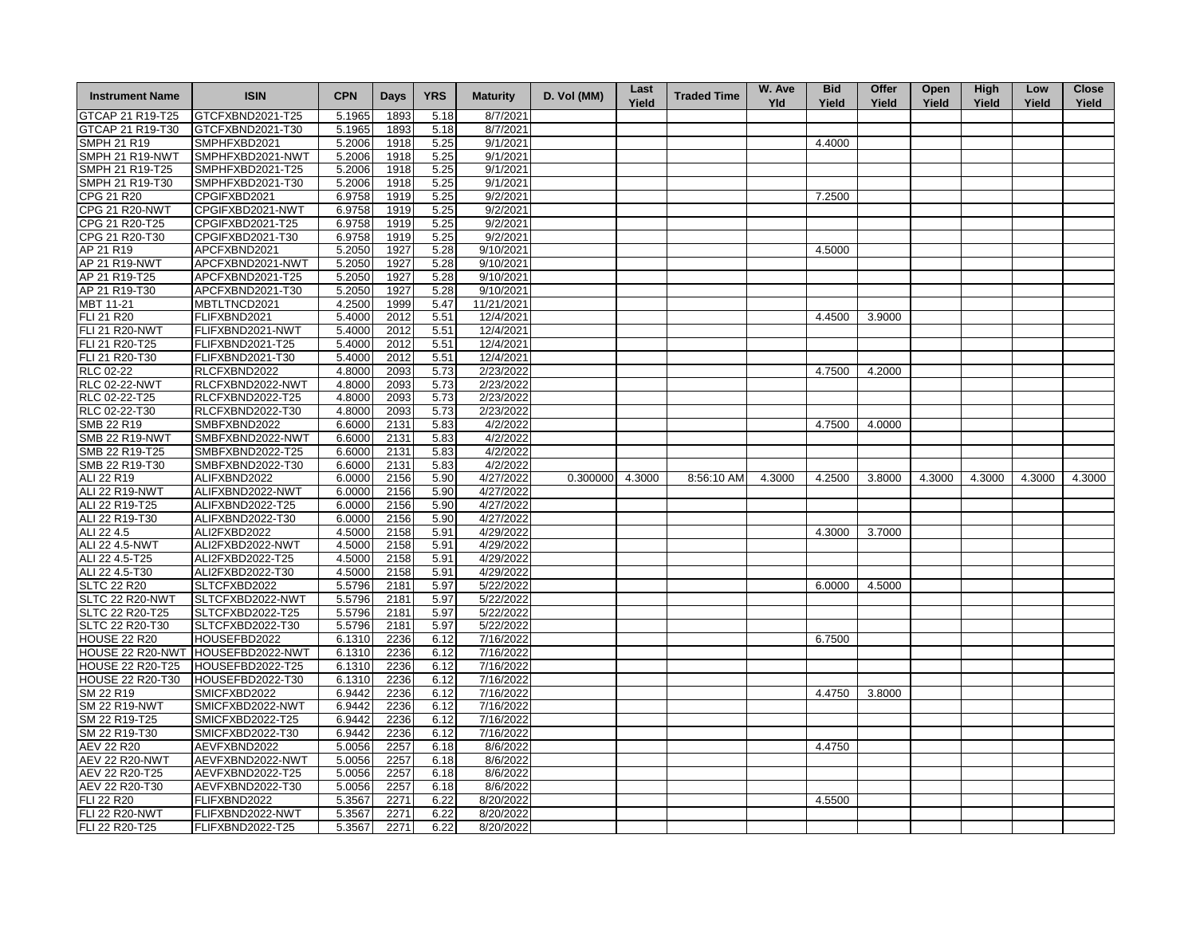| <b>Instrument Name</b>           | <b>ISIN</b>                          | <b>CPN</b> | Days | <b>YRS</b> | <b>Maturity</b>        | D. Vol (MM)     | Last<br>Yield | <b>Traded Time</b> | W. Ave<br><b>Yld</b> | <b>Bid</b><br>Yield | Offer<br>Yield | Open<br>Yield | <b>High</b><br>Yield | Low<br>Yield | <b>Close</b><br>Yield |
|----------------------------------|--------------------------------------|------------|------|------------|------------------------|-----------------|---------------|--------------------|----------------------|---------------------|----------------|---------------|----------------------|--------------|-----------------------|
| GTCAP 21 R19-T25                 | GTCFXBND2021-T25                     | 5.1965     | 1893 | 5.18       | 8/7/2021               |                 |               |                    |                      |                     |                |               |                      |              |                       |
| GTCAP 21 R19-T30                 | GTCFXBND2021-T30                     | 5.1965     | 1893 | 5.18       | 8/7/2021               |                 |               |                    |                      |                     |                |               |                      |              |                       |
| <b>SMPH 21 R19</b>               | SMPHFXBD2021                         | 5.2006     | 1918 | 5.25       | 9/1/2021               |                 |               |                    |                      | 4.4000              |                |               |                      |              |                       |
| SMPH 21 R19-NWT                  | SMPHFXBD2021-NWT                     | 5.2006     | 1918 | 5.25       | 9/1/2021               |                 |               |                    |                      |                     |                |               |                      |              |                       |
| SMPH 21 R19-T25                  | SMPHFXBD2021-T25                     | 5.2006     | 1918 | 5.25       | 9/1/2021               |                 |               |                    |                      |                     |                |               |                      |              |                       |
| SMPH 21 R19-T30                  | SMPHFXBD2021-T30                     | 5.2006     | 1918 | 5.25       | 9/1/2021               |                 |               |                    |                      |                     |                |               |                      |              |                       |
| CPG 21 R20                       | CPGIFXBD2021                         | 6.9758     | 1919 | 5.25       | 9/2/2021               |                 |               |                    |                      | 7.2500              |                |               |                      |              |                       |
| <b>CPG 21 R20-NWT</b>            | CPGIFXBD2021-NWT                     | 6.9758     | 1919 | 5.25       | 9/2/2021               |                 |               |                    |                      |                     |                |               |                      |              |                       |
| CPG 21 R20-T25                   | CPGIFXBD2021-T25                     | 6.9758     | 1919 | 5.25       | 9/2/2021               |                 |               |                    |                      |                     |                |               |                      |              |                       |
| CPG 21 R20-T30                   | CPGIFXBD2021-T30                     | 6.9758     | 1919 | 5.25       | 9/2/2021               |                 |               |                    |                      |                     |                |               |                      |              |                       |
| AP 21 R19                        | APCFXBND2021                         | 5.2050     | 1927 | 5.28       | 9/10/2021              |                 |               |                    |                      | 4.5000              |                |               |                      |              |                       |
| AP 21 R19-NWT                    | APCFXBND2021-NWT                     | 5.2050     | 1927 | 5.28       | 9/10/2021              |                 |               |                    |                      |                     |                |               |                      |              |                       |
| AP 21 R19-T25                    | APCFXBND2021-T25                     | 5.2050     | 1927 | 5.28       | 9/10/2021              |                 |               |                    |                      |                     |                |               |                      |              |                       |
| AP 21 R19-T30                    | APCFXBND2021-T30                     | 5.2050     | 1927 | 5.28       | 9/10/2021              |                 |               |                    |                      |                     |                |               |                      |              |                       |
| MBT 11-21                        | MBTLTNCD2021                         | 4.2500     | 1999 | 5.47       | 11/21/2021             |                 |               |                    |                      |                     |                |               |                      |              |                       |
| FLI 21 R20                       | FLIFXBND2021                         | 5.4000     | 2012 | 5.51       | 12/4/2021              |                 |               |                    |                      | 4.4500              | 3.9000         |               |                      |              |                       |
| <b>FLI 21 R20-NWT</b>            | FLIFXBND2021-NWT                     | 5.4000     | 2012 | 5.51       | 12/4/2021              |                 |               |                    |                      |                     |                |               |                      |              |                       |
| FLI 21 R20-T25                   | FLIFXBND2021-T25                     | 5.4000     | 2012 | 5.51       | 12/4/2021              |                 |               |                    |                      |                     |                |               |                      |              |                       |
| FLI 21 R20-T30                   | FLIFXBND2021-T30                     | 5.4000     | 2012 | 5.51       | 12/4/2021              |                 |               |                    |                      |                     |                |               |                      |              |                       |
| RLC 02-22                        | RLCFXBND2022                         | 4.8000     | 2093 | 5.73       | 2/23/2022              |                 |               |                    |                      | 4.7500              | 4.2000         |               |                      |              |                       |
| <b>RLC 02-22-NWT</b>             | RLCFXBND2022-NWT                     |            | 2093 | 5.73       | 2/23/2022              |                 |               |                    |                      |                     |                |               |                      |              |                       |
|                                  | RLCFXBND2022-T25                     | 4.8000     |      |            | 2/23/2022              |                 |               |                    |                      |                     |                |               |                      |              |                       |
| RLC 02-22-T25                    |                                      | 4.8000     | 2093 | 5.73       |                        |                 |               |                    |                      |                     |                |               |                      |              |                       |
| RLC 02-22-T30                    | RLCFXBND2022-T30                     | 4.8000     | 2093 | 5.73       | 2/23/2022              |                 |               |                    |                      |                     |                |               |                      |              |                       |
| SMB 22 R19                       | SMBFXBND2022                         | 6.6000     | 2131 | 5.83       | 4/2/2022               |                 |               |                    |                      | 4.7500              | 4.0000         |               |                      |              |                       |
| <b>SMB 22 R19-NWT</b>            | SMBFXBND2022-NWT                     | 6.6000     | 2131 | 5.83       | 4/2/2022               |                 |               |                    |                      |                     |                |               |                      |              |                       |
| SMB 22 R19-T25                   | SMBFXBND2022-T25                     | 6.6000     | 2131 | 5.83       | 4/2/2022               |                 |               |                    |                      |                     |                |               |                      |              |                       |
| SMB 22 R19-T30                   | SMBFXBND2022-T30                     | 6.6000     | 2131 | 5.83       | 4/2/2022               |                 |               |                    |                      |                     |                |               |                      |              |                       |
| ALI 22 R19                       | ALIFXBND2022                         | 6.0000     | 2156 | 5.90       | 4/27/2022              | 0.300000 4.3000 |               | 8:56:10 AM         | 4.3000               | 4.2500              | 3.8000         | 4.3000        | 4.3000               | 4.3000       | 4.3000                |
| <b>ALI 22 R19-NWT</b>            | ALIFXBND2022-NWT                     | 6.0000     | 2156 | 5.90       | 4/27/2022              |                 |               |                    |                      |                     |                |               |                      |              |                       |
| ALI 22 R19-T25<br>ALI 22 R19-T30 | ALIFXBND2022-T25<br>ALIFXBND2022-T30 | 6.0000     | 2156 | 5.90       | 4/27/2022<br>4/27/2022 |                 |               |                    |                      |                     |                |               |                      |              |                       |
|                                  |                                      | 6.0000     | 2156 | 5.90       |                        |                 |               |                    |                      | 4.3000              |                |               |                      |              |                       |
| ALI 22 4.5                       | ALI2FXBD2022                         | 4.5000     | 2158 | 5.91       | 4/29/2022              |                 |               |                    |                      |                     | 3.7000         |               |                      |              |                       |
| ALI 22 4.5-NWT                   | ALI2FXBD2022-NWT                     | 4.5000     | 2158 | 5.91       | 4/29/2022              |                 |               |                    |                      |                     |                |               |                      |              |                       |
| ALI 22 4.5-T25                   | ALI2FXBD2022-T25                     | 4.5000     | 2158 | 5.91       | 4/29/2022              |                 |               |                    |                      |                     |                |               |                      |              |                       |
| ALI 22 4.5-T30                   | ALI2FXBD2022-T30                     | 4.5000     | 2158 | 5.91       | 4/29/2022              |                 |               |                    |                      |                     |                |               |                      |              |                       |
| <b>SLTC 22 R20</b>               | SLTCFXBD2022                         | 5.5796     | 2181 | 5.97       | 5/22/2022              |                 |               |                    |                      | 6.0000              | 4.5000         |               |                      |              |                       |
| SLTC 22 R20-NWT                  | SLTCFXBD2022-NWT                     | 5.5796     | 2181 | 5.97       | 5/22/2022              |                 |               |                    |                      |                     |                |               |                      |              |                       |
| SLTC 22 R20-T25                  | SLTCFXBD2022-T25                     | 5.5796     | 2181 | 5.97       | 5/22/2022              |                 |               |                    |                      |                     |                |               |                      |              |                       |
| SLTC 22 R20-T30                  | SLTCFXBD2022-T30                     | 5.5796     | 2181 | 5.97       | 5/22/2022              |                 |               |                    |                      |                     |                |               |                      |              |                       |
| <b>HOUSE 22 R20</b>              | HOUSEFBD2022                         | 6.1310     | 2236 | 6.12       | 7/16/2022              |                 |               |                    |                      | 6.7500              |                |               |                      |              |                       |
| HOUSE 22 R20-NWT                 | HOUSEFBD2022-NWT                     | 6.1310     | 2236 | 6.12       | 7/16/2022              |                 |               |                    |                      |                     |                |               |                      |              |                       |
| HOUSE 22 R20-T25                 | HOUSEFBD2022-T25                     | 6.1310     | 2236 | 6.12       | 7/16/2022              |                 |               |                    |                      |                     |                |               |                      |              |                       |
| HOUSE 22 R20-T30                 | HOUSEFBD2022-T30                     | 6.1310     | 2236 | 6.12       | 7/16/2022              |                 |               |                    |                      |                     |                |               |                      |              |                       |
| SM 22 R19                        | SMICFXBD2022                         | 6.9442     | 2236 | 6.12       | 7/16/2022              |                 |               |                    |                      | 4.4750              | 3.8000         |               |                      |              |                       |
| <b>SM 22 R19-NWT</b>             | SMICFXBD2022-NWT                     | 6.9442     | 2236 | 6.12       | 7/16/2022              |                 |               |                    |                      |                     |                |               |                      |              |                       |
| SM 22 R19-T25                    | SMICFXBD2022-T25                     | 6.9442     | 2236 | 6.12       | 7/16/2022              |                 |               |                    |                      |                     |                |               |                      |              |                       |
| SM 22 R19-T30                    | SMICFXBD2022-T30                     | 6.9442     | 2236 | 6.12       | 7/16/2022              |                 |               |                    |                      |                     |                |               |                      |              |                       |
| <b>AEV 22 R20</b>                | AEVFXBND2022                         | 5.0056     | 2257 | 6.18       | 8/6/2022               |                 |               |                    |                      | 4.4750              |                |               |                      |              |                       |
| <b>AEV 22 R20-NWT</b>            | AEVFXBND2022-NWT                     | 5.0056     | 2257 | 6.18       | 8/6/2022               |                 |               |                    |                      |                     |                |               |                      |              |                       |
| AEV 22 R20-T25                   | AEVFXBND2022-T25                     | 5.0056     | 2257 | 6.18       | 8/6/2022               |                 |               |                    |                      |                     |                |               |                      |              |                       |
| AEV 22 R20-T30                   | AEVFXBND2022-T30                     | 5.0056     | 2257 | 6.18       | 8/6/2022               |                 |               |                    |                      |                     |                |               |                      |              |                       |
| <b>FLI 22 R20</b>                | FLIFXBND2022                         | 5.3567     | 2271 | 6.22       | 8/20/2022              |                 |               |                    |                      | 4.5500              |                |               |                      |              |                       |
| <b>FLI 22 R20-NWT</b>            | FLIFXBND2022-NWT                     | 5.3567     | 2271 | 6.22       | 8/20/2022              |                 |               |                    |                      |                     |                |               |                      |              |                       |
| FLI 22 R20-T25                   | FLIFXBND2022-T25                     | 5.3567     | 2271 | 6.22       | 8/20/2022              |                 |               |                    |                      |                     |                |               |                      |              |                       |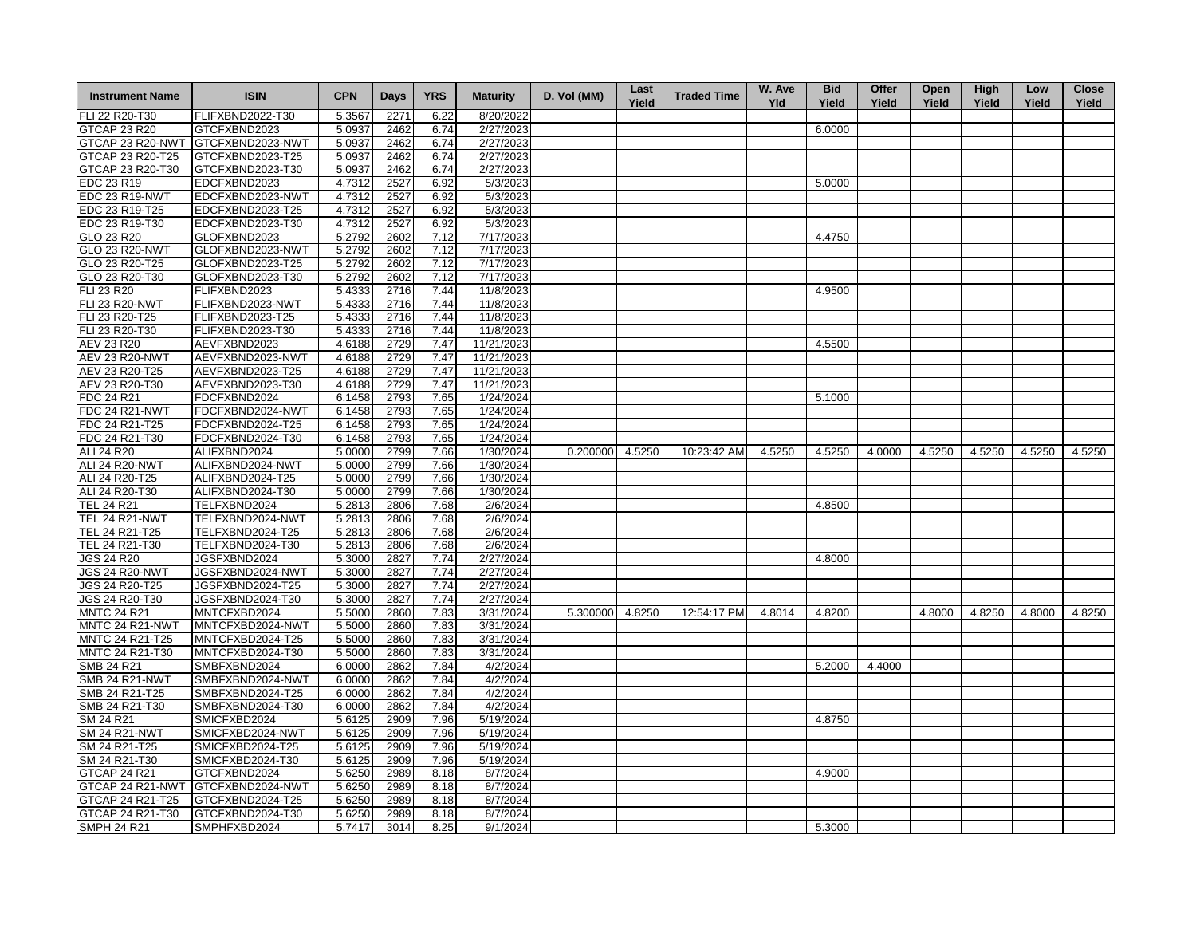| <b>Instrument Name</b> | <b>ISIN</b>      | <b>CPN</b> | <b>Days</b> | <b>YRS</b> | <b>Maturity</b> | D. Vol (MM)     | Last<br>Yield | <b>Traded Time</b> | W. Ave<br><b>Yld</b> | <b>Bid</b><br>Yield | Offer<br>Yield | Open<br>Yield | <b>High</b><br>Yield | Low<br>Yield | <b>Close</b><br>Yield |
|------------------------|------------------|------------|-------------|------------|-----------------|-----------------|---------------|--------------------|----------------------|---------------------|----------------|---------------|----------------------|--------------|-----------------------|
| FLI 22 R20-T30         | FLIFXBND2022-T30 | 5.3567     | 2271        | 6.22       | 8/20/2022       |                 |               |                    |                      |                     |                |               |                      |              |                       |
| <b>GTCAP 23 R20</b>    | GTCFXBND2023     | 5.0937     | 2462        | 6.74       | 2/27/2023       |                 |               |                    |                      | 6.0000              |                |               |                      |              |                       |
| GTCAP 23 R20-NWT       | GTCFXBND2023-NWT | 5.0937     | 2462        | 6.74       | 2/27/2023       |                 |               |                    |                      |                     |                |               |                      |              |                       |
| GTCAP 23 R20-T25       | GTCFXBND2023-T25 | 5.0937     | 2462        | 6.74       | 2/27/2023       |                 |               |                    |                      |                     |                |               |                      |              |                       |
| GTCAP 23 R20-T30       | GTCFXBND2023-T30 | 5.0937     | 2462        | 6.74       | 2/27/2023       |                 |               |                    |                      |                     |                |               |                      |              |                       |
| EDC 23 R19             | EDCFXBND2023     | 4.7312     | 2527        | 6.92       | 5/3/2023        |                 |               |                    |                      | 5.0000              |                |               |                      |              |                       |
| EDC 23 R19-NWT         | EDCFXBND2023-NWT | 4.7312     | 2527        | 6.92       | 5/3/2023        |                 |               |                    |                      |                     |                |               |                      |              |                       |
| EDC 23 R19-T25         | EDCFXBND2023-T25 | 4.7312     | 2527        | 6.92       | 5/3/2023        |                 |               |                    |                      |                     |                |               |                      |              |                       |
| EDC 23 R19-T30         | EDCFXBND2023-T30 | 4.7312     | 2527        | 6.92       | 5/3/2023        |                 |               |                    |                      |                     |                |               |                      |              |                       |
| GLO 23 R20             | GLOFXBND2023     | 5.2792     | 2602        | 7.12       | 7/17/2023       |                 |               |                    |                      | 4.4750              |                |               |                      |              |                       |
| <b>GLO 23 R20-NWT</b>  | GLOFXBND2023-NWT | 5.2792     | 2602        | 7.12       | 7/17/2023       |                 |               |                    |                      |                     |                |               |                      |              |                       |
| GLO 23 R20-T25         | GLOFXBND2023-T25 | 5.2792     | 2602        | 7.12       | 7/17/2023       |                 |               |                    |                      |                     |                |               |                      |              |                       |
| GLO 23 R20-T30         | GLOFXBND2023-T30 | 5.2792     | 2602        | 7.12       | 7/17/2023       |                 |               |                    |                      |                     |                |               |                      |              |                       |
| FLI 23 R20             | FLIFXBND2023     | 5.4333     | 2716        | 7.44       | 11/8/2023       |                 |               |                    |                      | 4.9500              |                |               |                      |              |                       |
| <b>FLI 23 R20-NWT</b>  | FLIFXBND2023-NWT | 5.4333     | 2716        | 7.44       | 11/8/2023       |                 |               |                    |                      |                     |                |               |                      |              |                       |
| FLI 23 R20-T25         | FLIFXBND2023-T25 | 5.4333     | 2716        | 7.44       | 11/8/2023       |                 |               |                    |                      |                     |                |               |                      |              |                       |
| FLI 23 R20-T30         | FLIFXBND2023-T30 | 5.4333     | 2716        | 7.44       | 11/8/2023       |                 |               |                    |                      |                     |                |               |                      |              |                       |
| AEV 23 R20             | AEVFXBND2023     | 4.6188     | 2729        | 7.47       | 11/21/2023      |                 |               |                    |                      | 4.5500              |                |               |                      |              |                       |
| <b>AEV 23 R20-NWT</b>  | AEVFXBND2023-NWT | 4.6188     | 2729        | 7.47       | 11/21/2023      |                 |               |                    |                      |                     |                |               |                      |              |                       |
| AEV 23 R20-T25         | AEVFXBND2023-T25 | 4.6188     | 2729        | 7.47       | 11/21/2023      |                 |               |                    |                      |                     |                |               |                      |              |                       |
| AEV 23 R20-T30         | AEVFXBND2023-T30 | 4.6188     | 2729        | 7.47       | 11/21/2023      |                 |               |                    |                      |                     |                |               |                      |              |                       |
|                        |                  |            |             |            |                 |                 |               |                    |                      |                     |                |               |                      |              |                       |
| FDC 24 R21             | FDCFXBND2024     | 6.1458     | 2793        | 7.65       | 1/24/2024       |                 |               |                    |                      | 5.1000              |                |               |                      |              |                       |
| FDC 24 R21-NWT         | FDCFXBND2024-NWT | 6.1458     | 2793        | 7.65       | 1/24/2024       |                 |               |                    |                      |                     |                |               |                      |              |                       |
| FDC 24 R21-T25         | FDCFXBND2024-T25 | 6.1458     | 2793        | 7.65       | 1/24/2024       |                 |               |                    |                      |                     |                |               |                      |              |                       |
| FDC 24 R21-T30         | FDCFXBND2024-T30 | 6.1458     | 2793        | 7.65       | 1/24/2024       |                 |               |                    |                      |                     |                |               |                      |              |                       |
| ALI 24 R20             | ALIFXBND2024     | 5.0000     | 2799        | 7.66       | 1/30/2024       | 0.200000 4.5250 |               | 10:23:42 AM        | 4.5250               | 4.5250              | 4.0000         | 4.5250        | 4.5250               | 4.5250       | 4.5250                |
| ALI 24 R20-NWT         | ALIFXBND2024-NWT | 5.0000     | 2799        | 7.66       | 1/30/2024       |                 |               |                    |                      |                     |                |               |                      |              |                       |
| ALI 24 R20-T25         | ALIFXBND2024-T25 | 5.0000     | 2799        | 7.66       | 1/30/2024       |                 |               |                    |                      |                     |                |               |                      |              |                       |
| ALI 24 R20-T30         | ALIFXBND2024-T30 | 5.0000     | 2799        | 7.66       | 1/30/2024       |                 |               |                    |                      |                     |                |               |                      |              |                       |
| <b>TEL 24 R21</b>      | TELFXBND2024     | 5.2813     | 2806        | 7.68       | 2/6/2024        |                 |               |                    |                      | 4.8500              |                |               |                      |              |                       |
| <b>TEL 24 R21-NWT</b>  | TELFXBND2024-NWT | 5.2813     | 2806        | 7.68       | 2/6/2024        |                 |               |                    |                      |                     |                |               |                      |              |                       |
| TEL 24 R21-T25         | TELFXBND2024-T25 | 5.2813     | 2806        | 7.68       | 2/6/2024        |                 |               |                    |                      |                     |                |               |                      |              |                       |
| TEL 24 R21-T30         | TELFXBND2024-T30 | 5.2813     | 2806        | 7.68       | 2/6/2024        |                 |               |                    |                      |                     |                |               |                      |              |                       |
| <b>JGS 24 R20</b>      | JGSFXBND2024     | 5.3000     | 2827        | 7.74       | 2/27/2024       |                 |               |                    |                      | 4.8000              |                |               |                      |              |                       |
| <b>JGS 24 R20-NWT</b>  | JGSFXBND2024-NWT | 5.3000     | 2827        | 7.74       | 2/27/2024       |                 |               |                    |                      |                     |                |               |                      |              |                       |
| JGS 24 R20-T25         | JGSFXBND2024-T25 | 5.3000     | 2827        | 7.74       | 2/27/2024       |                 |               |                    |                      |                     |                |               |                      |              |                       |
| JGS 24 R20-T30         | JGSFXBND2024-T30 | 5.3000     | 2827        | 7.74       | 2/27/2024       |                 |               |                    |                      |                     |                |               |                      |              |                       |
| <b>MNTC 24 R21</b>     | MNTCFXBD2024     | 5.5000     | 2860        | 7.83       | 3/31/2024       | 5.300000 4.8250 |               | 12:54:17 PM        | 4.8014               | 4.8200              |                | 4.8000        | 4.8250               | 4.8000       | 4.8250                |
| MNTC 24 R21-NWT        | MNTCFXBD2024-NWT | 5.5000     | 2860        | 7.83       | 3/31/2024       |                 |               |                    |                      |                     |                |               |                      |              |                       |
| MNTC 24 R21-T25        | MNTCFXBD2024-T25 | 5.5000     | 2860        | 7.83       | 3/31/2024       |                 |               |                    |                      |                     |                |               |                      |              |                       |
| MNTC 24 R21-T30        | MNTCFXBD2024-T30 | 5.5000     | 2860        | 7.83       | 3/31/2024       |                 |               |                    |                      |                     |                |               |                      |              |                       |
| SMB 24 R21             | SMBFXBND2024     | 6.0000     | 2862        | 7.84       | 4/2/2024        |                 |               |                    |                      | 5.2000              | 4.4000         |               |                      |              |                       |
| <b>SMB 24 R21-NWT</b>  | SMBFXBND2024-NWT | 6.0000     | 2862        | 7.84       | 4/2/2024        |                 |               |                    |                      |                     |                |               |                      |              |                       |
| SMB 24 R21-T25         | SMBFXBND2024-T25 | 6.0000     | 2862        | 7.84       | 4/2/2024        |                 |               |                    |                      |                     |                |               |                      |              |                       |
| SMB 24 R21-T30         | SMBFXBND2024-T30 | 6.0000     | 2862        | 7.84       | 4/2/2024        |                 |               |                    |                      |                     |                |               |                      |              |                       |
| SM 24 R21              | SMICFXBD2024     | 5.6125     | 2909        | 7.96       | 5/19/2024       |                 |               |                    |                      | 4.8750              |                |               |                      |              |                       |
| <b>SM 24 R21-NWT</b>   | SMICFXBD2024-NWT | 5.6125     | 2909        | 7.96       | 5/19/2024       |                 |               |                    |                      |                     |                |               |                      |              |                       |
| SM 24 R21-T25          | SMICFXBD2024-T25 | 5.6125     | 2909        | 7.96       | 5/19/2024       |                 |               |                    |                      |                     |                |               |                      |              |                       |
| SM 24 R21-T30          | SMICFXBD2024-T30 | 5.6125     | 2909        | 7.96       | 5/19/2024       |                 |               |                    |                      |                     |                |               |                      |              |                       |
| <b>GTCAP 24 R21</b>    | GTCFXBND2024     | 5.6250     | 2989        | 8.18       | 8/7/2024        |                 |               |                    |                      | 4.9000              |                |               |                      |              |                       |
| GTCAP 24 R21-NWT       | GTCFXBND2024-NWT | 5.6250     | 2989        | 8.18       | 8/7/2024        |                 |               |                    |                      |                     |                |               |                      |              |                       |
| GTCAP 24 R21-T25       | GTCFXBND2024-T25 | 5.6250     | 2989        | 8.18       | 8/7/2024        |                 |               |                    |                      |                     |                |               |                      |              |                       |
| GTCAP 24 R21-T30       | GTCFXBND2024-T30 | 5.6250     | 2989        | 8.18       | 8/7/2024        |                 |               |                    |                      |                     |                |               |                      |              |                       |
| <b>SMPH 24 R21</b>     | SMPHFXBD2024     | 5.7417     | 3014        | 8.25       | 9/1/2024        |                 |               |                    |                      | 5.3000              |                |               |                      |              |                       |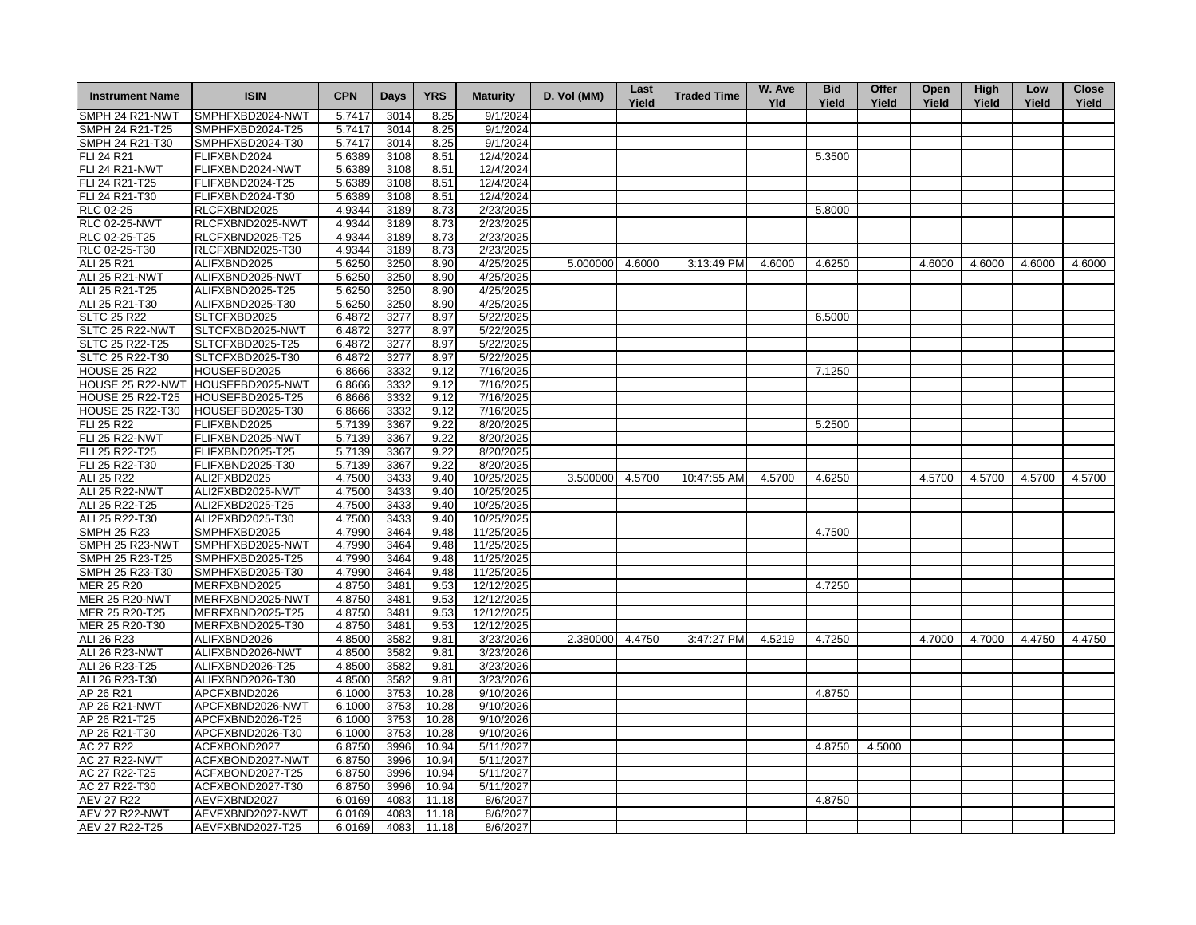| <b>Instrument Name</b>  | <b>ISIN</b>      | <b>CPN</b> | <b>Days</b> | <b>YRS</b> | <b>Maturity</b> | D. Vol (MM)     | Last<br>Yield | <b>Traded Time</b> | W. Ave<br>Yld | <b>Bid</b><br>Yield | Offer<br>Yield | Open<br>Yield | <b>High</b><br>Yield | Low<br>Yield | <b>Close</b><br>Yield |
|-------------------------|------------------|------------|-------------|------------|-----------------|-----------------|---------------|--------------------|---------------|---------------------|----------------|---------------|----------------------|--------------|-----------------------|
| SMPH 24 R21-NWT         | SMPHFXBD2024-NWT | 5.7417     | 3014        | 8.25       | 9/1/2024        |                 |               |                    |               |                     |                |               |                      |              |                       |
| SMPH 24 R21-T25         | SMPHFXBD2024-T25 | 5.7417     | 3014        | 8.25       | 9/1/2024        |                 |               |                    |               |                     |                |               |                      |              |                       |
| SMPH 24 R21-T30         | SMPHFXBD2024-T30 | 5.7417     | 3014        | 8.25       | 9/1/2024        |                 |               |                    |               |                     |                |               |                      |              |                       |
| FLI 24 R21              | FLIFXBND2024     | 5.6389     | 3108        | 8.51       | 12/4/2024       |                 |               |                    |               | 5.3500              |                |               |                      |              |                       |
| <b>FLI 24 R21-NWT</b>   | FLIFXBND2024-NWT | 5.6389     | 3108        | 8.51       | 12/4/2024       |                 |               |                    |               |                     |                |               |                      |              |                       |
| FLI 24 R21-T25          | FLIFXBND2024-T25 | 5.6389     | 3108        | 8.51       | 12/4/2024       |                 |               |                    |               |                     |                |               |                      |              |                       |
| FLI 24 R21-T30          | FLIFXBND2024-T30 | 5.6389     | 3108        | 8.51       | 12/4/2024       |                 |               |                    |               |                     |                |               |                      |              |                       |
| RLC 02-25               | RLCFXBND2025     | 4.9344     | 3189        | 8.73       | 2/23/2025       |                 |               |                    |               | 5.8000              |                |               |                      |              |                       |
| <b>RLC 02-25-NWT</b>    | RLCFXBND2025-NWT | 4.9344     | 3189        | 8.73       | 2/23/2025       |                 |               |                    |               |                     |                |               |                      |              |                       |
| RLC 02-25-T25           | RLCFXBND2025-T25 | 4.9344     | 3189        | 8.73       | 2/23/2025       |                 |               |                    |               |                     |                |               |                      |              |                       |
| RLC 02-25-T30           | RLCFXBND2025-T30 | 4.9344     | 3189        | 8.73       | 2/23/2025       |                 |               |                    |               |                     |                |               |                      |              |                       |
| ALI 25 R21              | ALIFXBND2025     | 5.6250     | 3250        | 8.90       | 4/25/2025       | 5.000000 4.6000 |               | 3:13:49 PM         | 4.6000        | 4.6250              |                | 4.6000        | 4.6000               | 4.6000       | 4.6000                |
| ALI 25 R21-NWT          | ALIFXBND2025-NWT | 5.6250     | 3250        | 8.90       | 4/25/2025       |                 |               |                    |               |                     |                |               |                      |              |                       |
| ALI 25 R21-T25          | ALIFXBND2025-T25 | 5.6250     | 3250        | 8.90       | 4/25/2025       |                 |               |                    |               |                     |                |               |                      |              |                       |
| ALI 25 R21-T30          | ALIFXBND2025-T30 | 5.6250     | 3250        | 8.90       | 4/25/2025       |                 |               |                    |               |                     |                |               |                      |              |                       |
| <b>SLTC 25 R22</b>      | SLTCFXBD2025     | 6.4872     | 3277        | 8.97       | 5/22/2025       |                 |               |                    |               | 6.5000              |                |               |                      |              |                       |
| SLTC 25 R22-NWT         | SLTCFXBD2025-NWT | 6.4872     | 3277        | 8.97       | 5/22/2025       |                 |               |                    |               |                     |                |               |                      |              |                       |
| SLTC 25 R22-T25         | SLTCFXBD2025-T25 | 6.4872     | 3277        | 8.97       | 5/22/2025       |                 |               |                    |               |                     |                |               |                      |              |                       |
| SLTC 25 R22-T30         | SLTCFXBD2025-T30 | 6.4872     | 3277        | 8.97       | 5/22/2025       |                 |               |                    |               |                     |                |               |                      |              |                       |
| <b>HOUSE 25 R22</b>     | HOUSEFBD2025     | 6.8666     | 3332        | 9.12       | 7/16/2025       |                 |               |                    |               | 7.1250              |                |               |                      |              |                       |
| HOUSE 25 R22-NWT        | HOUSEFBD2025-NWT | 6.8666     | 3332        | 9.12       | 7/16/2025       |                 |               |                    |               |                     |                |               |                      |              |                       |
| <b>HOUSE 25 R22-T25</b> | HOUSEFBD2025-T25 | 6.8666     | 3332        | 9.12       | 7/16/2025       |                 |               |                    |               |                     |                |               |                      |              |                       |
| <b>HOUSE 25 R22-T30</b> | HOUSEFBD2025-T30 | 6.8666     | 3332        | 9.12       | 7/16/2025       |                 |               |                    |               |                     |                |               |                      |              |                       |
| FLI 25 R22              | FLIFXBND2025     | 5.7139     | 3367        | 9.22       | 8/20/2025       |                 |               |                    |               | 5.2500              |                |               |                      |              |                       |
| <b>FLI 25 R22-NWT</b>   | FLIFXBND2025-NWT | 5.7139     | 3367        | 9.22       | 8/20/2025       |                 |               |                    |               |                     |                |               |                      |              |                       |
| FLI 25 R22-T25          | FLIFXBND2025-T25 | 5.7139     | 3367        | 9.22       | 8/20/2025       |                 |               |                    |               |                     |                |               |                      |              |                       |
| FLI 25 R22-T30          | FLIFXBND2025-T30 | 5.7139     | 3367        | 9.22       | 8/20/2025       |                 |               |                    |               |                     |                |               |                      |              |                       |
| ALI 25 R22              | ALI2FXBD2025     | 4.7500     | 3433        | 9.40       | 10/25/2025      | 3.500000 4.5700 |               | 10:47:55 AM        | 4.5700        | 4.6250              |                | 4.5700        | 4.5700               | 4.5700       | 4.5700                |
| <b>ALI 25 R22-NWT</b>   | ALI2FXBD2025-NWT | 4.7500     | 3433        | 9.40       | 10/25/2025      |                 |               |                    |               |                     |                |               |                      |              |                       |
| ALI 25 R22-T25          | ALI2FXBD2025-T25 | 4.7500     | 3433        | 9.40       | 10/25/2025      |                 |               |                    |               |                     |                |               |                      |              |                       |
| ALI 25 R22-T30          | ALI2FXBD2025-T30 | 4.7500     | 3433        | 9.40       | 10/25/2025      |                 |               |                    |               |                     |                |               |                      |              |                       |
| <b>SMPH 25 R23</b>      | SMPHFXBD2025     | 4.7990     | 3464        | 9.48       | 11/25/2025      |                 |               |                    |               | 4.7500              |                |               |                      |              |                       |
| SMPH 25 R23-NWT         | SMPHFXBD2025-NWT | 4.7990     | 3464        | 9.48       | 11/25/2025      |                 |               |                    |               |                     |                |               |                      |              |                       |
| SMPH 25 R23-T25         | SMPHFXBD2025-T25 | 4.7990     | 3464        | 9.48       | 11/25/2025      |                 |               |                    |               |                     |                |               |                      |              |                       |
| SMPH 25 R23-T30         | SMPHFXBD2025-T30 | 4.7990     | 3464        | 9.48       | 11/25/2025      |                 |               |                    |               |                     |                |               |                      |              |                       |
| <b>MER 25 R20</b>       | MERFXBND2025     | 4.8750     | 3481        | 9.53       | 12/12/2025      |                 |               |                    |               | 4.7250              |                |               |                      |              |                       |
| <b>MER 25 R20-NWT</b>   | MERFXBND2025-NWT | 4.8750     | 3481        | 9.53       | 12/12/2025      |                 |               |                    |               |                     |                |               |                      |              |                       |
| MER 25 R20-T25          | MERFXBND2025-T25 | 4.8750     | 3481        | 9.53       | 12/12/2025      |                 |               |                    |               |                     |                |               |                      |              |                       |
| MER 25 R20-T30          | MERFXBND2025-T30 | 4.8750     | 3481        | 9.53       | 12/12/2025      |                 |               |                    |               |                     |                |               |                      |              |                       |
| ALI 26 R23              | ALIFXBND2026     | 4.8500     | 3582        | 9.81       | 3/23/2026       | 2.380000        | 4.4750        | 3:47:27 PM         | 4.5219        | 4.7250              |                | 4.7000        | 4.7000               | 4.4750       | 4.4750                |
| <b>ALI 26 R23-NWT</b>   | ALIFXBND2026-NWT | 4.8500     | 3582        | 9.81       | 3/23/2026       |                 |               |                    |               |                     |                |               |                      |              |                       |
| ALI 26 R23-T25          | ALIFXBND2026-T25 | 4.8500     | 3582        | 9.81       | 3/23/2026       |                 |               |                    |               |                     |                |               |                      |              |                       |
| ALI 26 R23-T30          | ALIFXBND2026-T30 | 4.8500     | 3582        | 9.81       | 3/23/2026       |                 |               |                    |               |                     |                |               |                      |              |                       |
| AP 26 R21               | APCFXBND2026     | 6.1000     | 3753        | 10.28      | 9/10/2026       |                 |               |                    |               | 4.8750              |                |               |                      |              |                       |
| AP 26 R21-NWT           | APCFXBND2026-NWT | 6.1000     | 3753        | 10.28      | 9/10/2026       |                 |               |                    |               |                     |                |               |                      |              |                       |
| AP 26 R21-T25           | APCFXBND2026-T25 | 6.1000     | 3753        | 10.28      | 9/10/2026       |                 |               |                    |               |                     |                |               |                      |              |                       |
| AP 26 R21-T30           | APCFXBND2026-T30 | 6.1000     | 3753        | 10.28      | 9/10/2026       |                 |               |                    |               |                     |                |               |                      |              |                       |
| AC 27 R22               | ACFXBOND2027     | 6.8750     | 3996        | 10.94      | 5/11/2027       |                 |               |                    |               | 4.8750              | 4.5000         |               |                      |              |                       |
| <b>AC 27 R22-NWT</b>    | ACFXBOND2027-NWT | 6.8750     | 3996        | 10.94      | 5/11/2027       |                 |               |                    |               |                     |                |               |                      |              |                       |
| AC 27 R22-T25           | ACFXBOND2027-T25 | 6.8750     | 3996        | 10.94      | 5/11/2027       |                 |               |                    |               |                     |                |               |                      |              |                       |
| AC 27 R22-T30           | ACFXBOND2027-T30 | 6.8750     | 3996        | 10.94      | 5/11/2027       |                 |               |                    |               |                     |                |               |                      |              |                       |
| <b>AEV 27 R22</b>       | AEVFXBND2027     | 6.0169     | 4083        | 11.18      | 8/6/2027        |                 |               |                    |               | 4.8750              |                |               |                      |              |                       |
| <b>AEV 27 R22-NWT</b>   | AEVFXBND2027-NWT | 6.0169     | 4083        | 11.18      | 8/6/2027        |                 |               |                    |               |                     |                |               |                      |              |                       |
| AEV 27 R22-T25          | AEVFXBND2027-T25 | 6.0169     | 4083        | 11.18      | 8/6/2027        |                 |               |                    |               |                     |                |               |                      |              |                       |